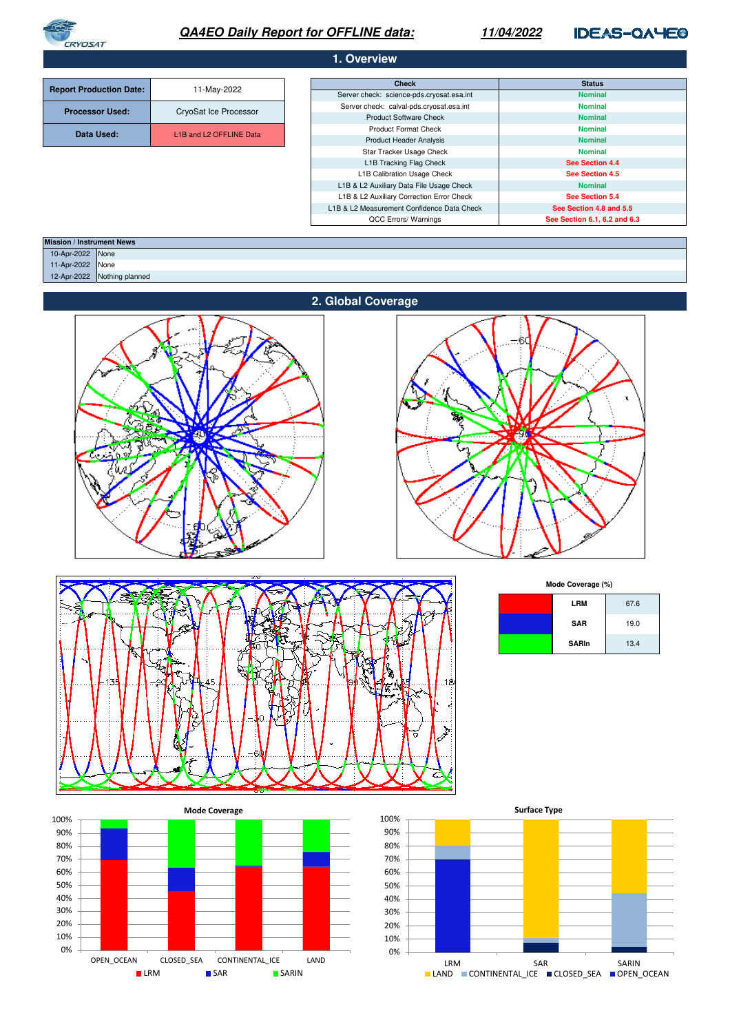

# **QA4EO Daily Report for OFFLINE data:**

## **11/04/2022**

**IDEAS-QAYEO** 

## **1. Overview**

|                                | 11-May-2022             | <b>Check</b>                               | <b>Status</b>                |  |
|--------------------------------|-------------------------|--------------------------------------------|------------------------------|--|
| <b>Report Production Date:</b> |                         | Server check: science-pds.cryosat.esa.int  | <b>Nominal</b>               |  |
| <b>Processor Used:</b>         | CryoSat Ice Processor   | Server check: calval-pds.cryosat.esa.int   | <b>Nominal</b>               |  |
|                                |                         | <b>Product Software Check</b>              | <b>Nominal</b>               |  |
| Data Used:                     | L1B and L2 OFFLINE Data | <b>Product Format Check</b>                | <b>Nominal</b>               |  |
|                                |                         | <b>Product Header Analysis</b>             | <b>Nominal</b>               |  |
|                                |                         | Star Tracker Usage Check                   | <b>Nominal</b>               |  |
|                                |                         | L1B Tracking Flag Check                    | See Section 4.4              |  |
|                                |                         | L1B Calibration Usage Check                | See Section 4.5              |  |
|                                |                         | L1B & L2 Auxiliary Data File Usage Check   | <b>Nominal</b>               |  |
|                                |                         | L1B & L2 Auxiliary Correction Error Check  | See Section 5.4              |  |
|                                |                         | L1B & L2 Measurement Confidence Data Check | See Section 4.8 and 5.5      |  |
|                                |                         | QCC Errors/ Warnings                       | See Section 6.1, 6.2 and 6.3 |  |

| <b>Mission / Instrument News</b> |                  |                 |
|----------------------------------|------------------|-----------------|
|                                  | 10-Apr-2022 None |                 |
|                                  | 11-Apr-2022 None |                 |
|                                  | 12-Apr-2022      | Nothing planned |
|                                  |                  |                 |







**Mode Coverage (%)**

| <b>LRM</b>   | 67.6 |
|--------------|------|
| <b>SAR</b>   | 19.0 |
| <b>SARIn</b> | 13.4 |



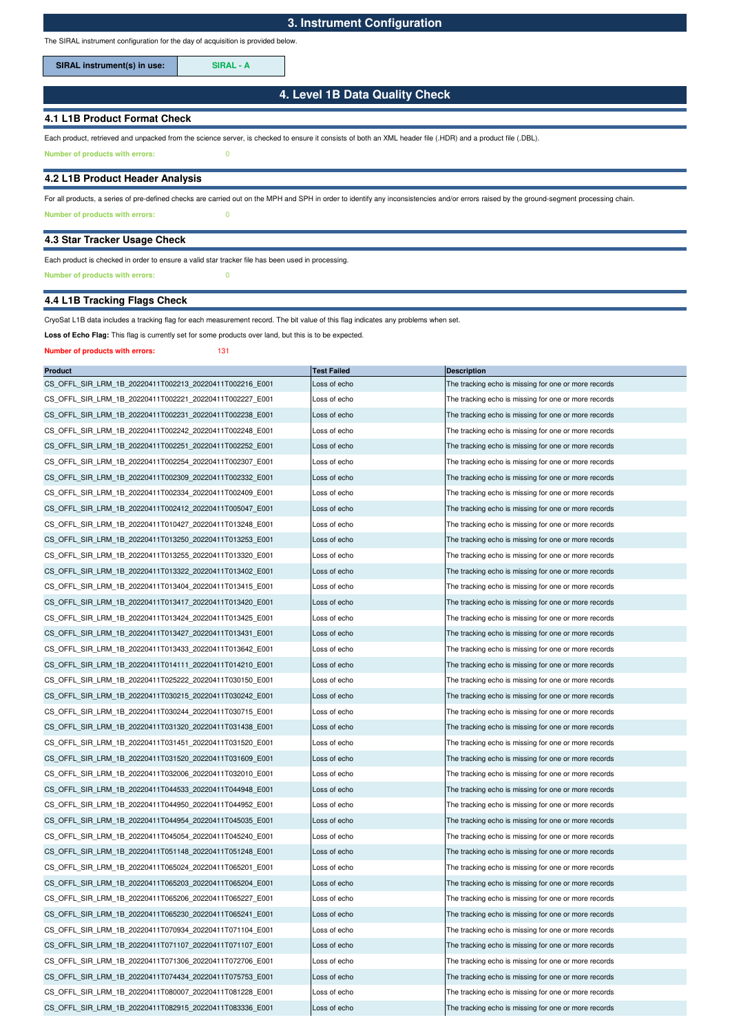The SIRAL instrument configuration for the day of acquisition is provided below.

**SIRAL instrument(s) in use: SIRAL - A**

## **4. Level 1B Data Quality Check**

## **4.1 L1B Product Format Check**

Each product, retrieved and unpacked from the science server, is checked to ensure it consists of both an XML header file (.HDR) and a product file (.DBL).

**Number of products with errors:** 0

### **4.2 L1B Product Header Analysis**

**Number of products with errors:** 0 For all products, a series of pre-defined checks are carried out on the MPH and SPH in order to identify any inconsistencies and/or errors raised by the ground-segment processing chain.

#### **4.3 Star Tracker Usage Check**

## Each product is checked in order to ensure a valid star tracker file has been used in processing.

**Number of products with errors:** 0

## **4.4 L1B Tracking Flags Check**

CryoSat L1B data includes a tracking flag for each measurement record. The bit value of this flag indicates any problems when set.

Loss of Echo Flag: This flag is currently set for some products over land, but this is to be expected.

#### **Number of products with errors:** 131

| <b>Product</b>                                          | <b>Test Failed</b> | <b>Description</b>                                   |
|---------------------------------------------------------|--------------------|------------------------------------------------------|
| CS_OFFL_SIR_LRM_1B_20220411T002213_20220411T002216_E001 | Loss of echo       | The tracking echo is missing for one or more records |
| CS OFFL SIR LRM 1B 20220411T002221 20220411T002227 E001 | Loss of echo       | The tracking echo is missing for one or more records |
| CS_OFFL_SIR_LRM_1B_20220411T002231_20220411T002238_E001 | Loss of echo       | The tracking echo is missing for one or more records |
| CS OFFL SIR LRM 1B 20220411T002242 20220411T002248 E001 | Loss of echo       | The tracking echo is missing for one or more records |
| CS_OFFL_SIR_LRM_1B_20220411T002251_20220411T002252_E001 | Loss of echo       | The tracking echo is missing for one or more records |
| CS_OFFL_SIR_LRM_1B_20220411T002254_20220411T002307_E001 | Loss of echo       | The tracking echo is missing for one or more records |
| CS_OFFL_SIR_LRM_1B_20220411T002309_20220411T002332_E001 | Loss of echo       | The tracking echo is missing for one or more records |
| CS_OFFL_SIR_LRM_1B_20220411T002334_20220411T002409_E001 | Loss of echo       | The tracking echo is missing for one or more records |
| CS OFFL SIR LRM 1B 20220411T002412 20220411T005047 E001 | Loss of echo       | The tracking echo is missing for one or more records |
| CS_OFFL_SIR_LRM_1B_20220411T010427_20220411T013248_E001 | Loss of echo       | The tracking echo is missing for one or more records |
| CS OFFL SIR LRM 1B 20220411T013250 20220411T013253 E001 | Loss of echo       | The tracking echo is missing for one or more records |
| CS_OFFL_SIR_LRM_1B_20220411T013255_20220411T013320_E001 | Loss of echo       | The tracking echo is missing for one or more records |
| CS_OFFL_SIR_LRM_1B_20220411T013322_20220411T013402_E001 | Loss of echo       | The tracking echo is missing for one or more records |
| CS_OFFL_SIR_LRM_1B_20220411T013404_20220411T013415_E001 | Loss of echo       | The tracking echo is missing for one or more records |
| CS_OFFL_SIR_LRM_1B_20220411T013417_20220411T013420_E001 | Loss of echo       | The tracking echo is missing for one or more records |
| CS_OFFL_SIR_LRM_1B_20220411T013424_20220411T013425_E001 | Loss of echo       | The tracking echo is missing for one or more records |
| CS_OFFL_SIR_LRM_1B_20220411T013427_20220411T013431_E001 | Loss of echo       | The tracking echo is missing for one or more records |
| CS_OFFL_SIR_LRM_1B_20220411T013433_20220411T013642_E001 | Loss of echo       | The tracking echo is missing for one or more records |
| CS_OFFL_SIR_LRM_1B_20220411T014111_20220411T014210_E001 | Loss of echo       | The tracking echo is missing for one or more records |
| CS OFFL SIR LRM 1B 20220411T025222 20220411T030150 E001 | Loss of echo       | The tracking echo is missing for one or more records |
| CS_OFFL_SIR_LRM_1B_20220411T030215_20220411T030242_E001 | Loss of echo       | The tracking echo is missing for one or more records |
| CS_OFFL_SIR_LRM_1B_20220411T030244_20220411T030715_E001 | Loss of echo       | The tracking echo is missing for one or more records |
| CS_OFFL_SIR_LRM_1B_20220411T031320_20220411T031438_E001 | Loss of echo       | The tracking echo is missing for one or more records |
| CS_OFFL_SIR_LRM_1B_20220411T031451_20220411T031520_E001 | Loss of echo       | The tracking echo is missing for one or more records |
| CS_OFFL_SIR_LRM_1B_20220411T031520_20220411T031609_E001 | Loss of echo       | The tracking echo is missing for one or more records |
| CS_OFFL_SIR_LRM_1B_20220411T032006_20220411T032010_E001 | Loss of echo       | The tracking echo is missing for one or more records |
| CS_OFFL_SIR_LRM_1B_20220411T044533_20220411T044948_E001 | Loss of echo       | The tracking echo is missing for one or more records |
| CS_OFFL_SIR_LRM_1B_20220411T044950_20220411T044952_E001 | Loss of echo       | The tracking echo is missing for one or more records |
| CS_OFFL_SIR_LRM_1B_20220411T044954_20220411T045035_E001 | Loss of echo       | The tracking echo is missing for one or more records |
| CS_OFFL_SIR_LRM_1B_20220411T045054_20220411T045240_E001 | Loss of echo       | The tracking echo is missing for one or more records |
| CS_OFFL_SIR_LRM_1B_20220411T051148_20220411T051248_E001 | Loss of echo       | The tracking echo is missing for one or more records |
| CS_OFFL_SIR_LRM_1B_20220411T065024_20220411T065201_E001 | Loss of echo       | The tracking echo is missing for one or more records |
| CS_OFFL_SIR_LRM_1B_20220411T065203_20220411T065204_E001 | Loss of echo       | The tracking echo is missing for one or more records |
| CS OFFL SIR LRM 1B 20220411T065206 20220411T065227 E001 | Loss of echo       | The tracking echo is missing for one or more records |
| CS_OFFL_SIR_LRM_1B_20220411T065230_20220411T065241_E001 | Loss of echo       | The tracking echo is missing for one or more records |
| CS OFFL SIR LRM 1B 20220411T070934 20220411T071104 E001 | Loss of echo       | The tracking echo is missing for one or more records |
| CS OFFL SIR LRM 1B 20220411T071107 20220411T071107 E001 | Loss of echo       | The tracking echo is missing for one or more records |
| CS_OFFL_SIR_LRM_1B_20220411T071306_20220411T072706_E001 | Loss of echo       | The tracking echo is missing for one or more records |
| CS OFFL SIR LRM 1B 20220411T074434 20220411T075753 E001 | Loss of echo       | The tracking echo is missing for one or more records |
| CS OFFL SIR LRM 1B 20220411T080007 20220411T081228 E001 | Loss of echo       | The tracking echo is missing for one or more records |
| CS OFFL SIR LRM 1B 20220411T082915 20220411T083336 E001 | Loss of echo       | The tracking echo is missing for one or more records |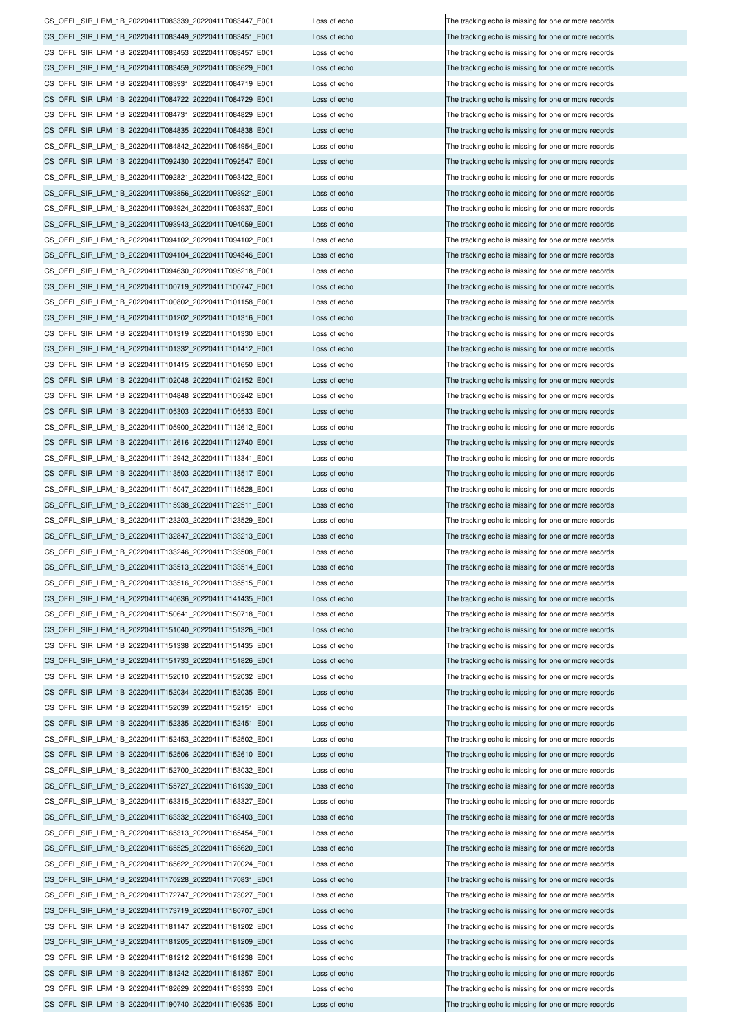CS\_OFFL\_SIR\_LRM\_1B\_20220411T181147\_20220411T181202\_E001 Loss of echo The tracking echo is missing for one or more records CS\_OFFL\_SIR\_LRM\_1B\_20220411T181205\_20220411T181209\_E001 Loss of echo The tracking echo is missing for one or more records CS\_OFFL\_SIR\_LRM\_1B\_20220411T181212\_20220411T181238\_E001 Loss of echo The tracking echo is missing for one or more records CS\_OFFL\_SIR\_LRM\_1B\_20220411T181242\_20220411T181357\_E001 Loss of echo The tracking echo is missing for one or more records CS\_OFFL\_SIR\_LRM\_1B\_20220411T182629\_20220411T183333\_E001 Loss of echo The tracking echo is missing for one or more records CS\_OFFL\_SIR\_LRM\_1B\_20220411T190740\_20220411T190935\_E001 Loss of echo CS\_OFFL\_SIR\_LRM\_1B\_20220411T155727\_20220411T161939\_E001 Loss of echo The tracking echo is missing for one or more records CS\_OFFL\_SIR\_LRM\_1B\_20220411T163315\_20220411T163327\_E001 Loss of echo The tracking echo is missing for one or more records CS\_OFFL\_SIR\_LRM\_1B\_20220411T163332\_20220411T163403\_E001 Loss of echo The tracking echo is missing for one or more records CS\_OFFL\_SIR\_LRM\_1B\_20220411T165313\_20220411T165454\_E001 Loss of echo CS\_OFFL\_SIR\_LRM\_1B\_20220411T165525\_20220411T165620\_E001 Loss of echo The tracking echo is missing for one or more records CS\_OFFL\_SIR\_LRM\_1B\_20220411T165622\_20220411T170024\_E001 Loss of echo The tracking echo is missing for one or more records CS\_OFFL\_SIR\_LRM\_1B\_20220411T170228\_20220411T170831\_E001 Loss of echo The tracking echo is missing for one or more records CS\_OFFL\_SIR\_LRM\_1B\_20220411T172747\_20220411T173027\_E001 Loss of echo The tracking echo is missing for one or more records CS\_OFFL\_SIR\_LRM\_1B\_20220411T173719\_20220411T180707\_E001 Loss of echo The tracking echo is missing for one or more records CS\_OFFL\_SIR\_LRM\_1B\_20220411T150641\_20220411T150718\_E001 Loss of echo The tracking echo is missing for one or more records CS\_OFFL\_SIR\_LRM\_1B\_20220411T151040\_20220411T151326\_E001 Loss of echo The tracking echo is missing for one or more records CS\_OFFL\_SIR\_LRM\_1B\_20220411T151338\_20220411T151435\_E001 Loss of echo The tracking echo is missing for one or more records CS\_OFFL\_SIR\_LRM\_1B\_20220411T151733\_20220411T151826\_E001 Loss of echo The tracking echo is missing for one or more records CS\_OFFL\_SIR\_LRM\_1B\_20220411T152010\_20220411T152032\_E001 Loss of echo The tracking echo is missing for one or more records CS\_OFFL\_SIR\_LRM\_1B\_20220411T152034\_20220411T152035\_E001 Loss of echo The tracking echo is missing for one or more records CS\_OFFL\_SIR\_LRM\_1B\_20220411T152039\_20220411T152151\_E001 Loss of echo The tracking echo is missing for one or more records CS\_OFFL\_SIR\_LRM\_1B\_20220411T152335\_20220411T152451\_E001 Loss of echo The tracking echo is missing for one or more records CS\_OFFL\_SIR\_LRM\_1B\_20220411T152453\_20220411T152502\_E001 Loss of echo The tracking echo is missing for one or more records CS\_OFFL\_SIR\_LRM\_1B\_20220411T152506\_20220411T152610\_E001 Loss of echo The tracking echo is missing for one or more records CS\_OFFL\_SIR\_LRM\_1B\_20220411T152700\_20220411T153032\_E001 CS\_OFFL\_SIR\_LRM\_1B\_20220411T123203\_20220411T123529\_E001 Loss of echo The tracking echo is missing for one or more records CS\_OFFL\_SIR\_LRM\_1B\_20220411T132847\_20220411T133213\_E001 Loss of echo The tracking echo is missing for one or more records CS\_OFFL\_SIR\_LRM\_1B\_20220411T133246\_20220411T133508\_E001 Loss of echo The tracking echo is missing for one or more records CS\_OFFL\_SIR\_LRM\_1B\_20220411T133513\_20220411T133514\_E001 Loss of echo The tracking echo is missing for one or more records CS\_OFFL\_SIR\_LRM\_1B\_20220411T133516\_20220411T135515\_E001 Loss of echo The tracking echo is missing for one or more records CS\_OFFL\_SIR\_LRM\_1B\_20220411T140636\_20220411T141435\_E001 Loss of echo The tracking echo is missing for one or more records CS\_OFFL\_SIR\_LRM\_1B\_20220411T105900\_20220411T112612\_E001 Loss of echo The tracking echo is missing for one or more records CS\_OFFL\_SIR\_LRM\_1B\_20220411T112616\_20220411T112740\_E001 Loss of echo The tracking echo is missing for one or more records CS\_OFFL\_SIR\_LRM\_1B\_20220411T112942\_20220411T113341\_E001 Loss of echo The tracking echo is missing for one or more records CS\_OFFL\_SIR\_LRM\_1B\_20220411T113503\_20220411T113517\_E001 Loss of echo The tracking echo is missing for one or more records CS\_OFFL\_SIR\_LRM\_1B\_20220411T115047\_20220411T115528\_E001 Loss of echo The tracking echo is missing for one or more records CS\_OFFL\_SIR\_LRM\_1B\_20220411T115938\_20220411T122511\_E001 Loss of echo The tracking echo is missing for one or more records CS\_OFFL\_SIR\_LRM\_1B\_20220411T101319\_20220411T101330\_E001 Loss of echo The tracking echo is missing for one or more records CS\_OFFL\_SIR\_LRM\_1B\_20220411T101332\_20220411T101412\_E001 Loss of echo The tracking echo is missing for one or more records CS\_OFFL\_SIR\_LRM\_1B\_20220411T101415\_20220411T101650\_E001 Loss of echo The tracking echo is missing for one or more records CS\_OFFL\_SIR\_LRM\_1B\_20220411T102048\_20220411T102152\_E001 Loss of echo The tracking echo is missing for one or more records CS\_OFFL\_SIR\_LRM\_1B\_20220411T104848\_20220411T105242\_E001 Loss of echo The tracking echo is missing for one or more records CS\_OFFL\_SIR\_LRM\_1B\_20220411T105303\_20220411T105533\_E001 Loss of echo The tracking echo is missing for one or more records CS\_OFFL\_SIR\_LRM\_1B\_20220411T094102\_20220411T094102\_E001 Loss of echo The tracking echo is missing for one or more records CS\_OFFL\_SIR\_LRM\_1B\_20220411T094104\_20220411T094346\_E001 Loss of echo The tracking echo is missing for one or more records CS\_OFFL\_SIR\_LRM\_1B\_20220411T094630\_20220411T095218\_E001 Loss of echo The tracking echo is missing for one or more records CS\_OFFL\_SIR\_LRM\_1B\_20220411T100719\_20220411T100747\_E001 Loss of echo The tracking echo is missing for one or more records CS\_OFFL\_SIR\_LRM\_1B\_20220411T100802\_20220411T101158\_E001 Loss of echo The tracking echo is missing for one or more records CS\_OFFL\_SIR\_LRM\_1B\_20220411T101202\_20220411T101316\_E001 Loss of echo The tracking echo is missing for one or more records CS\_OFFL\_SIR\_LRM\_1B\_20220411T084842\_20220411T084954\_E001 Loss of echo The tracking echo is missing for one or more records CS\_OFFL\_SIR\_LRM\_1B\_20220411T092430\_20220411T092547\_E001 Loss of echo The tracking echo is missing for one or more records CS\_OFFL\_SIR\_LRM\_1B\_20220411T092821\_20220411T093422\_E001 Loss of echo The tracking echo is missing for one or more records CS\_OFFL\_SIR\_LRM\_1B\_20220411T093856\_20220411T093921\_E001 Loss of echo The tracking echo is missing for one or more records CS\_OFFL\_SIR\_LRM\_1B\_20220411T093924\_20220411T093937\_E001 Loss of echo The tracking echo is missing for one or more records CS\_OFFL\_SIR\_LRM\_1B\_20220411T093943\_20220411T094059\_E001 Loss of echo The tracking echo is missing for one or more records CS\_OFFL\_SIR\_LRM\_1B\_20220411T083453\_20220411T083457\_E001 Loss of echo The tracking echo is missing for one or more records CS\_OFFL\_SIR\_LRM\_1B\_20220411T083459\_20220411T083629\_E001 Loss of echo The tracking echo is missing for one or more records CS\_OFFL\_SIR\_LRM\_1B\_20220411T083931\_20220411T084719\_E001 Loss of echo The tracking echo is missing for one or more records CS\_OFFL\_SIR\_LRM\_1B\_20220411T084722\_20220411T084729\_E001 Loss of echo The tracking echo is missing for one or more records CS\_OFFL\_SIR\_LRM\_1B\_20220411T084731\_20220411T084829\_E001 Loss of echo The tracking echo is missing for one or more records CS\_OFFL\_SIR\_LRM\_1B\_20220411T084835\_20220411T084838\_E001 Loss of echo The tracking echo is missing for one or more records CS\_OFFL\_SIR\_LRM\_1B\_20220411T083339\_20220411T083447\_E001 Loss of echo The tracking echo is missing for one or more records CS\_OFFL\_SIR\_LRM\_1B\_20220411T083449\_20220411T083451\_E001 Loss of echo The tracking echo is missing for one or more records

Loss of echo The tracking echo is missing for one or more records The tracking echo is missing for one or more records The tracking echo is missing for one or more records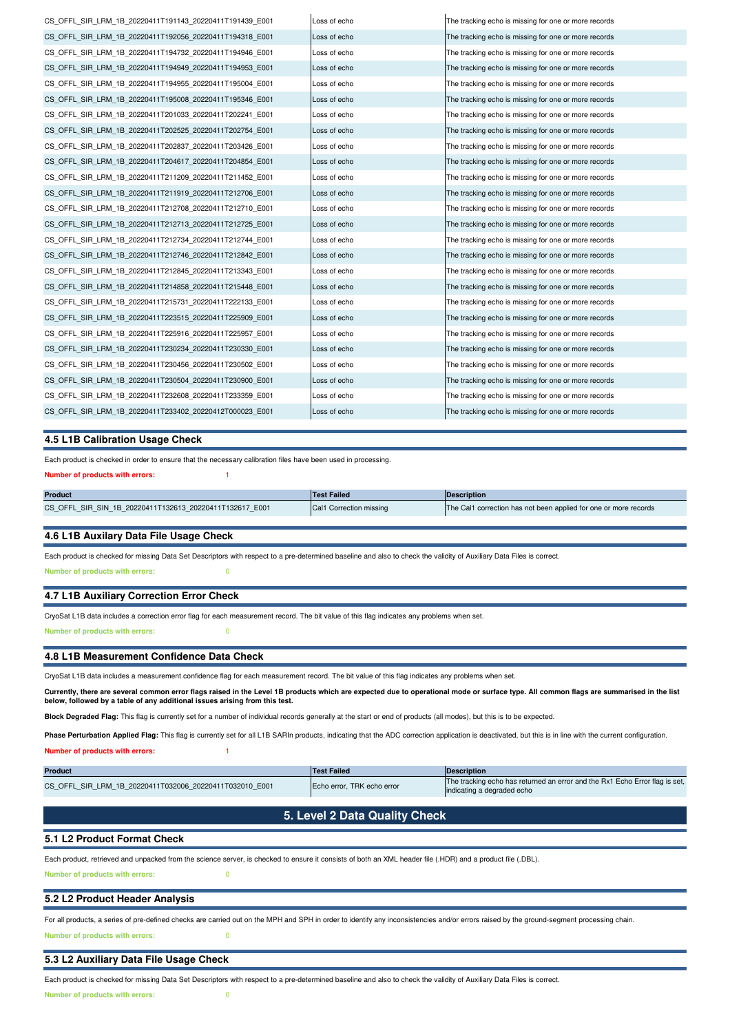| CS OFFL SIR LRM 1B 20220411T191143 20220411T191439 E001 | Loss of echo | The tracking echo is missing for one or more records |
|---------------------------------------------------------|--------------|------------------------------------------------------|
| CS OFFL SIR LRM 1B 20220411T192056 20220411T194318 E001 | Loss of echo | The tracking echo is missing for one or more records |
| CS OFFL SIR LRM 1B 20220411T194732 20220411T194946 E001 | Loss of echo | The tracking echo is missing for one or more records |
| CS OFFL SIR LRM 1B 20220411T194949 20220411T194953 E001 | Loss of echo | The tracking echo is missing for one or more records |
| CS OFFL SIR LRM 1B 20220411T194955 20220411T195004 E001 | Loss of echo | The tracking echo is missing for one or more records |
| CS OFFL SIR LRM 1B 20220411T195008 20220411T195346 E001 | Loss of echo | The tracking echo is missing for one or more records |
| CS OFFL SIR LRM 1B 20220411T201033 20220411T202241 E001 | Loss of echo | The tracking echo is missing for one or more records |
| CS OFFL SIR LRM 1B 20220411T202525 20220411T202754 E001 | Loss of echo | The tracking echo is missing for one or more records |
| CS OFFL SIR LRM 1B 20220411T202837 20220411T203426 E001 | Loss of echo | The tracking echo is missing for one or more records |
| CS OFFL SIR LRM 1B 20220411T204617 20220411T204854 E001 | Loss of echo | The tracking echo is missing for one or more records |
| CS OFFL SIR LRM 1B 20220411T211209 20220411T211452 E001 | Loss of echo | The tracking echo is missing for one or more records |
| CS OFFL SIR LRM 1B 20220411T211919 20220411T212706 E001 | Loss of echo | The tracking echo is missing for one or more records |
| CS OFFL SIR LRM 1B 20220411T212708 20220411T212710 E001 | Loss of echo | The tracking echo is missing for one or more records |
| CS OFFL SIR LRM 1B 20220411T212713 20220411T212725 E001 | Loss of echo | The tracking echo is missing for one or more records |
| CS OFFL SIR LRM 1B 20220411T212734 20220411T212744 E001 | Loss of echo | The tracking echo is missing for one or more records |
| CS OFFL SIR LRM 1B 20220411T212746 20220411T212842 E001 | Loss of echo | The tracking echo is missing for one or more records |
| CS OFFL SIR LRM 1B 20220411T212845 20220411T213343 E001 | Loss of echo | The tracking echo is missing for one or more records |
| CS OFFL SIR LRM 1B 20220411T214858 20220411T215448 E001 | Loss of echo | The tracking echo is missing for one or more records |
| CS OFFL SIR LRM 1B 20220411T215731 20220411T222133 E001 | Loss of echo | The tracking echo is missing for one or more records |
| CS OFFL SIR LRM 1B 20220411T223515 20220411T225909 E001 | Loss of echo | The tracking echo is missing for one or more records |
| CS OFFL SIR LRM 1B 20220411T225916 20220411T225957 E001 | Loss of echo | The tracking echo is missing for one or more records |
| CS OFFL SIR LRM 1B 20220411T230234 20220411T230330 E001 | Loss of echo | The tracking echo is missing for one or more records |
| CS OFFL SIR LRM 1B 20220411T230456 20220411T230502 E001 | Loss of echo | The tracking echo is missing for one or more records |
| CS OFFL SIR LRM 1B 20220411T230504 20220411T230900 E001 | Loss of echo | The tracking echo is missing for one or more records |
| CS OFFL SIR LRM 1B 20220411T232608 20220411T233359 E001 | Loss of echo | The tracking echo is missing for one or more records |
| CS OFFL SIR LRM 1B 20220411T233402 20220412T000023 E001 | Loss of echo | The tracking echo is missing for one or more records |
|                                                         |              |                                                      |

## **4.5 L1B Calibration Usage Check**

Each product is checked in order to ensure that the necessary calibration files have been used in processing.

## **Number of products with errors:**

| <b>Product</b>                                          | <b>Test Failed</b>      | <b>IDescription</b>                                              |
|---------------------------------------------------------|-------------------------|------------------------------------------------------------------|
| CS OFFL SIR SIN 1B 20220411T132613 20220411T132617 E001 | Cal1 Correction missing | The Cal1 correction has not been applied for one or more records |
|                                                         |                         |                                                                  |

#### **4.6 L1B Auxilary Data File Usage Check**

Each product is checked for missing Data Set Descriptors with respect to a pre-determined baseline and also to check the validity of Auxiliary Data Files is correct. **Number of products with errors:** 0

## **4.7 L1B Auxiliary Correction Error Check**

CryoSat L1B data includes a correction error flag for each measurement record. The bit value of this flag indicates any problems when set.

**Number of products with errors:** 0

#### **4.8 L1B Measurement Confidence Data Check**

CryoSat L1B data includes a measurement confidence flag for each measurement record. The bit value of this flag indicates any problems when set.

**Currently, there are several common error flags raised in the Level 1B products which are expected due to operational mode or surface type. All common flags are summarised in the list below, followed by a table of any additional issues arising from this test.**

**Block Degraded Flag:** This flag is currently set for a number of individual records generally at the start or end of products (all modes), but this is to be expected.

Phase Perturbation Applied Flag: This flag is currently set for all L1B SARIn products, indicating that the ADC correction application is deactivated, but this is in line with the current configuration.

## **Number of products with errors:**

| <b>Product</b>                                          | <b>Test Failed</b>         | Description                                                                                               |  |
|---------------------------------------------------------|----------------------------|-----------------------------------------------------------------------------------------------------------|--|
| CS OFFL SIR LRM 1B 20220411T032006 20220411T032010 E001 | Echo error, TRK echo error | The tracking echo has returned an error and the Rx1 Echo Error flag is set,<br>indicating a degraded echo |  |
|                                                         |                            |                                                                                                           |  |
| 5. Level 2 Data Quality Check                           |                            |                                                                                                           |  |
| 5.1 L2 Product Format Check                             |                            |                                                                                                           |  |
|                                                         |                            |                                                                                                           |  |

Each product, retrieved and unpacked from the science server, is checked to ensure it consists of both an XML header file (.HDR) and a product file (.DBL). **Number of products with errors:** 0

#### **5.2 L2 Product Header Analysis**

**Number of products with errors:** 0 For all products, a series of pre-defined checks are carried out on the MPH and SPH in order to identify any inconsistencies and/or errors raised by the ground-segment processing chain.

**5.3 L2 Auxiliary Data File Usage Check**

Each product is checked for missing Data Set Descriptors with respect to a pre-determined baseline and also to check the validity of Auxiliary Data Files is correct. **Number of products with errors:** 0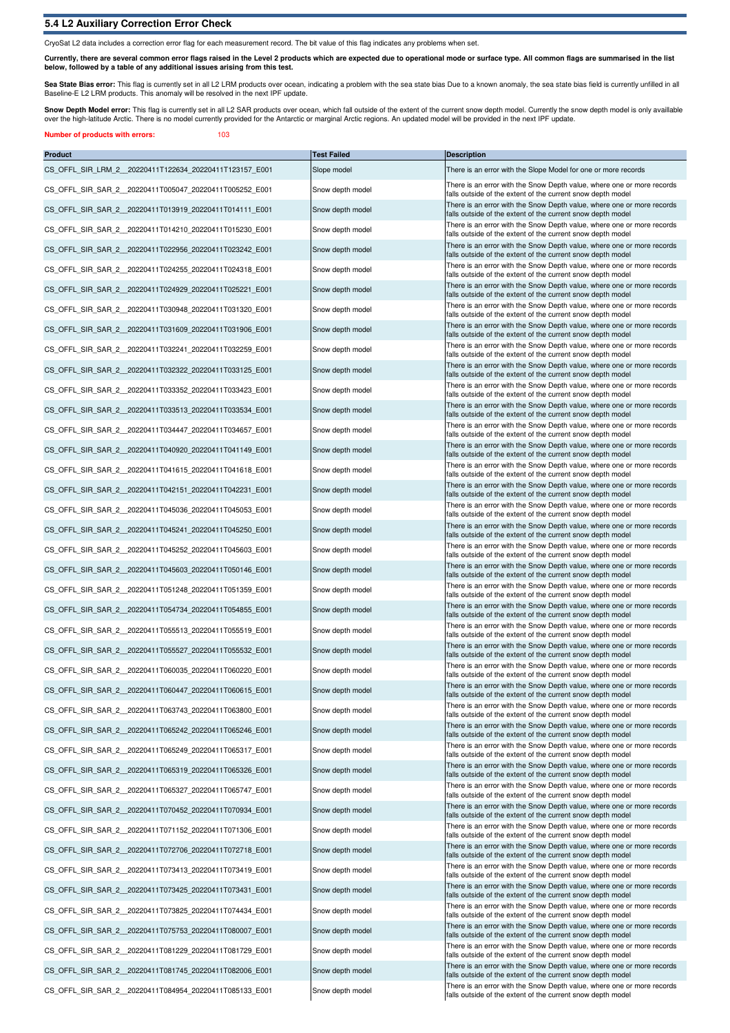## **5.4 L2 Auxiliary Correction Error Check**

**Number of products with errors:** 103

CryoSat L2 data includes a correction error flag for each measurement record. The bit value of this flag indicates any problems when set.

**Currently, there are several common error flags raised in the Level 2 products which are expected due to operational mode or surface type. All common flags are summarised in the list below, followed by a table of any additional issues arising from this test.**

**Sea State Bias error:** This flag is currently set in all L2 LRM products over ocean, indicating a problem with the sea state bias Due to a known anomaly, the sea state bias field is currently unfilled in all<br>Baseline-E L2

Snow Depth Model error: This flag is currently set in all L2 SAR products over ocean, which fall outside of the extent of the current snow depth model. Currently the snow depth model is only availlable over the high-latitude Arctic. There is no model currently provided for the Antarctic or marginal Arctic regions. An updated model will be provided in the next IPF update.

| <b>Product</b>                                          | <b>Test Failed</b> | <b>Description</b>                                                                                                                    |
|---------------------------------------------------------|--------------------|---------------------------------------------------------------------------------------------------------------------------------------|
| CS_OFFL_SIR_LRM_2_20220411T122634_20220411T123157_E001  | Slope model        | There is an error with the Slope Model for one or more records                                                                        |
| CS OFFL SIR SAR 2 20220411T005047 20220411T005252 E001  | Snow depth model   | There is an error with the Snow Depth value, where one or more records<br>falls outside of the extent of the current snow depth model |
| CS OFFL SIR SAR 2 20220411T013919 20220411T014111 E001  | Snow depth model   | There is an error with the Snow Depth value, where one or more records<br>falls outside of the extent of the current snow depth model |
| CS OFFL SIR SAR 2 20220411T014210 20220411T015230 E001  | Snow depth model   | There is an error with the Snow Depth value, where one or more records<br>falls outside of the extent of the current snow depth model |
| CS_OFFL_SIR_SAR_2_20220411T022956_20220411T023242_E001  | Snow depth model   | There is an error with the Snow Depth value, where one or more records<br>falls outside of the extent of the current snow depth model |
| CS OFFL SIR SAR 2 20220411T024255 20220411T024318 E001  | Snow depth model   | There is an error with the Snow Depth value, where one or more records<br>falls outside of the extent of the current snow depth model |
| CS_OFFL_SIR_SAR_2_20220411T024929_20220411T025221_E001  | Snow depth model   | There is an error with the Snow Depth value, where one or more records<br>falls outside of the extent of the current snow depth model |
| CS OFFL SIR SAR 2 20220411T030948 20220411T031320 E001  | Snow depth model   | There is an error with the Snow Depth value, where one or more records<br>falls outside of the extent of the current snow depth model |
| CS OFFL SIR SAR 2 20220411T031609 20220411T031906 E001  | Snow depth model   | There is an error with the Snow Depth value, where one or more records<br>falls outside of the extent of the current snow depth model |
| CS_OFFL_SIR_SAR_2_20220411T032241_20220411T032259_E001  | Snow depth model   | There is an error with the Snow Depth value, where one or more records<br>falls outside of the extent of the current snow depth model |
| CS OFFL SIR SAR 2 20220411T032322 20220411T033125 E001  | Snow depth model   | There is an error with the Snow Depth value, where one or more records<br>falls outside of the extent of the current snow depth model |
| CS_OFFL_SIR_SAR_2_20220411T033352_20220411T033423_E001  | Snow depth model   | There is an error with the Snow Depth value, where one or more records<br>falls outside of the extent of the current snow depth model |
| CS_OFFL_SIR_SAR_2_20220411T033513_20220411T033534_E001  | Snow depth model   | There is an error with the Snow Depth value, where one or more records<br>falls outside of the extent of the current snow depth model |
| CS OFFL SIR SAR 2 20220411T034447 20220411T034657 E001  | Snow depth model   | There is an error with the Snow Depth value, where one or more records<br>falls outside of the extent of the current snow depth model |
| CS_OFFL_SIR_SAR_2_20220411T040920_20220411T041149_E001  | Snow depth model   | There is an error with the Snow Depth value, where one or more records<br>falls outside of the extent of the current snow depth model |
| CS_OFFL_SIR_SAR_2_20220411T041615_20220411T041618_E001  | Snow depth model   | There is an error with the Snow Depth value, where one or more records<br>falls outside of the extent of the current snow depth model |
| CS OFFL SIR SAR 2 20220411T042151 20220411T042231 E001  | Snow depth model   | There is an error with the Snow Depth value, where one or more records<br>falls outside of the extent of the current snow depth model |
| CS_OFFL_SIR_SAR_2_20220411T045036_20220411T045053_E001  | Snow depth model   | There is an error with the Snow Depth value, where one or more records<br>falls outside of the extent of the current snow depth model |
| CS OFFL SIR SAR 2 20220411T045241 20220411T045250 E001  | Snow depth model   | There is an error with the Snow Depth value, where one or more records<br>falls outside of the extent of the current snow depth model |
| CS_OFFL_SIR_SAR_2_20220411T045252_20220411T045603_E001  | Snow depth model   | There is an error with the Snow Depth value, where one or more records<br>falls outside of the extent of the current snow depth model |
| CS_OFFL_SIR_SAR_2_20220411T045603_20220411T050146_E001  | Snow depth model   | There is an error with the Snow Depth value, where one or more records<br>falls outside of the extent of the current snow depth model |
| CS OFFL SIR SAR 2 20220411T051248 20220411T051359 E001  | Snow depth model   | There is an error with the Snow Depth value, where one or more records<br>falls outside of the extent of the current snow depth model |
| CS_OFFL_SIR_SAR_2_20220411T054734_20220411T054855_E001  | Snow depth model   | There is an error with the Snow Depth value, where one or more records<br>falls outside of the extent of the current snow depth model |
| CS OFFL SIR SAR 2 20220411T055513 20220411T055519 E001  | Snow depth model   | There is an error with the Snow Depth value, where one or more records<br>falls outside of the extent of the current snow depth model |
| CS OFFL SIR SAR 2 20220411T055527 20220411T055532 E001  | Snow depth model   | There is an error with the Snow Depth value, where one or more records<br>falls outside of the extent of the current snow depth model |
| CS OFFL SIR SAR 2 20220411T060035 20220411T060220 E001  | Snow depth model   | There is an error with the Snow Depth value, where one or more records<br>falls outside of the extent of the current snow depth model |
| CS_OFFL_SIR_SAR_2_20220411T060447_20220411T060615_E001  | Snow depth model   | There is an error with the Snow Depth value, where one or more records<br>falls outside of the extent of the current snow depth model |
| CS_OFFL_SIR_SAR_2__20220411T063743_20220411T063800_E001 | Snow depth model   | There is an error with the Snow Depth value, where one or more records<br>falls outside of the extent of the current snow depth model |
| CS OFFL SIR SAR 2 20220411T065242 20220411T065246 E001  | Snow depth model   | There is an error with the Snow Depth value, where one or more records<br>falls outside of the extent of the current snow depth model |
| CS OFFL SIR SAR 2 20220411T065249 20220411T065317 E001  | Snow depth model   | There is an error with the Snow Depth value, where one or more records<br>falls outside of the extent of the current snow depth model |
| CS_OFFL_SIR_SAR_2_20220411T065319_20220411T065326_E001  | Snow depth model   | There is an error with the Snow Depth value, where one or more records<br>falls outside of the extent of the current snow depth model |
| CS_OFFL_SIR_SAR_2__20220411T065327_20220411T065747_E001 | Snow depth model   | There is an error with the Snow Depth value, where one or more records<br>falls outside of the extent of the current snow depth model |
| CS OFFL SIR SAR 2 20220411T070452 20220411T070934 E001  | Snow depth model   | There is an error with the Snow Depth value, where one or more records<br>falls outside of the extent of the current snow depth model |
| CS OFFL SIR_SAR_2_20220411T071152_20220411T071306_E001  | Snow depth model   | There is an error with the Snow Depth value, where one or more records<br>falls outside of the extent of the current snow depth model |
| CS OFFL SIR SAR 2 20220411T072706 20220411T072718 E001  | Snow depth model   | There is an error with the Snow Depth value, where one or more records<br>falls outside of the extent of the current snow depth model |
| CS_OFFL_SIR_SAR_2__20220411T073413_20220411T073419_E001 | Snow depth model   | There is an error with the Snow Depth value, where one or more records<br>falls outside of the extent of the current snow depth model |
| CS OFFL SIR SAR 2 20220411T073425 20220411T073431 E001  | Snow depth model   | There is an error with the Snow Depth value, where one or more records<br>falls outside of the extent of the current snow depth model |
| CS OFFL SIR SAR 2 20220411T073825 20220411T074434 E001  | Snow depth model   | There is an error with the Snow Depth value, where one or more records<br>falls outside of the extent of the current snow depth model |
| CS_OFFL_SIR_SAR_2_20220411T075753_20220411T080007_E001  | Snow depth model   | There is an error with the Snow Depth value, where one or more records<br>falls outside of the extent of the current snow depth model |
| CS OFFL SIR SAR 2 20220411T081229 20220411T081729 E001  | Snow depth model   | There is an error with the Snow Depth value, where one or more records<br>falls outside of the extent of the current snow depth model |
| CS_OFFL_SIR_SAR_2_20220411T081745_20220411T082006_E001  | Snow depth model   | There is an error with the Snow Depth value, where one or more records<br>falls outside of the extent of the current snow depth model |
| CS_OFFL_SIR_SAR_2__20220411T084954_20220411T085133_E001 | Snow depth model   | There is an error with the Snow Depth value, where one or more records<br>falls outside of the extent of the current snow depth model |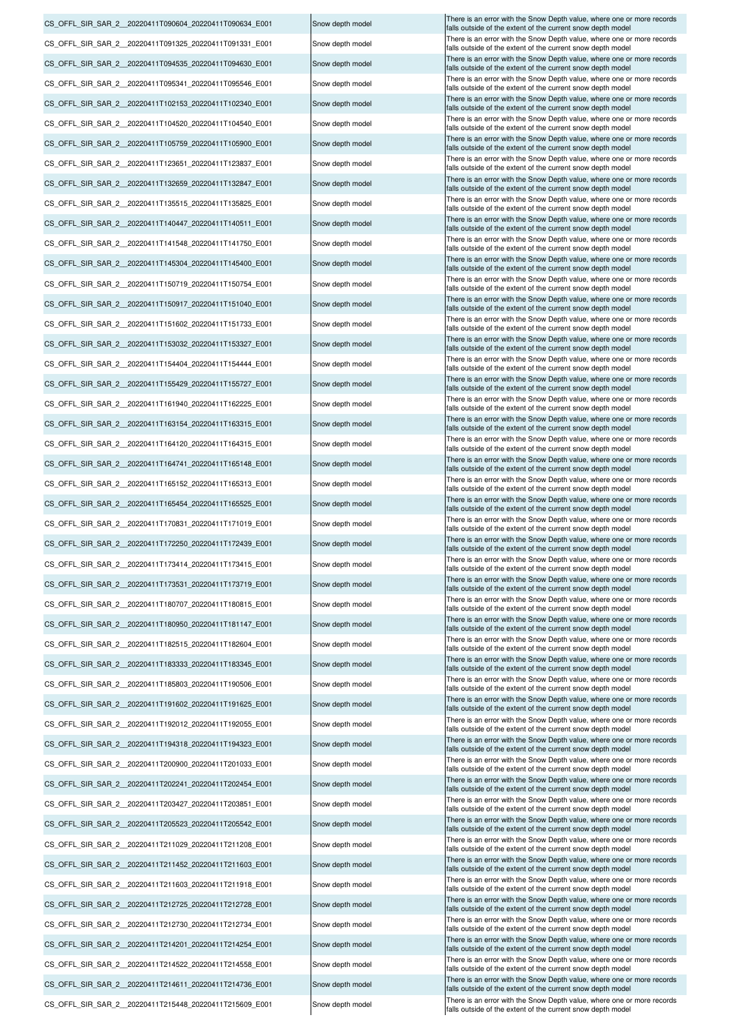CS\_OFFL\_SIR\_SAR\_2\_20220411T214522\_20220411T214558\_E001 Snow depth model There is an error with the Snow Depth value, where one or more records CS\_OFFL\_SIR\_SAR\_2\_\_20220411T215448\_20220411T215609\_E001 Snow depth model There is an error with the Snow Depth value, where one or more records CS\_OFFL\_SIR\_SAR\_2\_20220411T214611\_20220411T214736\_E001 Snow depth model There is an error with the Snow Depth value, where one or more records CS\_OFFL\_SIR\_SAR\_2\_\_20220411T211029\_20220411T211208\_E001 Snow depth model There is an error with the Snow Depth value, where one or more records CS\_OFFL\_SIR\_SAR\_2\_\_20220411T214201\_20220411T214254\_E001 Snow depth model There is an error with the Snow Depth value, where one or more records CS\_OFFL\_SIR\_SAR\_2\_\_20220411T211452\_20220411T211603\_E001 Snow depth model There is an error with the Snow Depth value, where one or more records CS\_OFFL\_SIR\_SAR\_2\_20220411T211603\_20220411T211918\_E001 Snow depth model There is an error with the Snow Depth value, where one or more records CS\_OFFL\_SIR\_SAR\_2\_\_20220411T212725\_20220411T212728\_E001 Snow depth model There is an error with the Snow Depth value, where one or more records CS\_OFFL\_SIR\_SAR\_2\_\_20220411T212730\_20220411T212734\_E001 Snow depth model CS\_OFFL\_SIR\_SAR\_2\_\_20220411T192012\_20220411T192055\_E001 Snow depth model There is an error with the Snow Depth value, where one or more records CS\_OFFL\_SIR\_SAR\_2\_20220411T200900\_20220411T201033\_E001 Snow depth model There is an error with the Snow Depth value, where one or more records CS\_OFFL\_SIR\_SAR\_2\_\_20220411T202241\_20220411T202454\_E001 Snow depth model There is an error with the Snow Depth value, where one or more records CS\_OFFL\_SIR\_SAR\_2\_\_20220411T203427\_20220411T203851\_E001 Snow depth model There is an error with the Snow Depth value, where one or more records CS\_OFFL\_SIR\_SAR\_2\_20220411T205523\_20220411T205542\_E001 Snow depth model There is an error with the Snow Depth value, where one or more records CS\_OFFL\_SIR\_SAR\_2\_\_20220411T194318\_20220411T194323\_E001 Snow depth model There is an error with the Snow Depth value, where one or more records CS\_OFFL\_SIR\_SAR\_2\_20220411T170831\_20220411T171019\_E001 Snow depth model There is an error with the Snow Depth value, where one or more records CS\_OFFL\_SIR\_SAR\_2\_20220411T172250\_20220411T172439\_E001 Snow depth model There is an error with the Snow Depth value, where one or more records CS\_OFFL\_SIR\_SAR\_2\_\_20220411T173414\_20220411T173415\_E001 Snow depth model There is an error with the Snow Depth value, where one or more records CS\_OFFL\_SIR\_SAR\_2\_20220411T173531\_20220411T173719\_E001 Snow depth model There is an error with the Snow Depth value, where one or more records CS\_OFFL\_SIR\_SAR\_2\_20220411T180707\_20220411T180815\_E001 Snow depth model There is an error with the Snow Depth value, where one or more records CS\_OFFL\_SIR\_SAR\_2\_\_20220411T191602\_20220411T191625\_E001 Snow depth model There is an error with the Snow Depth value, where one or more records CS\_OFFL\_SIR\_SAR\_2\_20220411T180950\_20220411T181147\_E001 Snow depth model There is an error with the Snow Depth value, where one or more records CS\_OFFL\_SIR\_SAR\_2\_\_20220411T182515\_20220411T182604\_E001 Snow depth model There is an error with the Snow Depth value, where one or more records CS\_OFFL\_SIR\_SAR\_2\_\_20220411T183333\_20220411T183345\_E001 Snow depth model There is an error with the Snow Depth value, where one or more records CS\_OFFL\_SIR\_SAR\_2\_\_20220411T185803\_20220411T190506\_E001 Snow depth model CS\_OFFL\_SIR\_SAR\_2\_20220411T155429\_20220411T155727\_E001 Snow depth model There is an error with the Snow Depth value, where one or more records CS\_OFFL\_SIR\_SAR\_2\_20220411T161940\_20220411T162225\_E001 Snow depth model There is an error with the Snow Depth value, where one or more records CS\_OFFL\_SIR\_SAR\_2\_\_20220411T163154\_20220411T163315\_E001 Snow depth model There is an error with the Snow Depth value, where one or more records CS\_OFFL\_SIR\_SAR\_2\_\_20220411T164120\_20220411T164315\_E001 Snow depth model There is an error with the Snow Depth value, where one or more records CS\_OFFL\_SIR\_SAR\_2\_\_20220411T164741\_20220411T165148\_E001 Snow depth model There is an error with the Snow Depth value, where one or more records CS\_OFFL\_SIR\_SAR\_2\_\_20220411T165152\_20220411T165313\_E001 Snow depth model There is an error with the Snow Depth value, where one or more records CS\_OFFL\_SIR\_SAR\_2\_20220411T165454\_20220411T165525\_E001 Snow depth model There is an error with the Snow Depth value, where one or more records CS\_OFFL\_SIR\_SAR\_2\_20220411T090604\_20220411T090634\_E001 Snow depth model There is an error with the Snow Depth value, where one or more records CS\_OFFL\_SIR\_SAR\_2\_\_20220411T091325\_20220411T091331\_E001 Snow depth model There is an error with the Snow Depth value, where one or more records CS\_OFFL\_SIR\_SAR\_2\_20220411T094535\_20220411T094630\_E001 Snow depth model There is an error with the Snow Depth value, where one or more records CS\_OFFL\_SIR\_SAR\_2\_\_20220411T095341\_20220411T095546\_E001 Snow depth model There is an error with the Snow Depth value, where one or more records CS\_OFFL\_SIR\_SAR\_2\_20220411T102153\_20220411T102340\_E001 Snow depth model There is an error with the Snow Depth value, where one or more records CS\_OFFL\_SIR\_SAR\_2\_20220411T104520\_20220411T104540\_E001 Snow depth model There is an error with the Snow Depth value, where one or more records CS\_OFFL\_SIR\_SAR\_2\_\_20220411T105759\_20220411T105900\_E001 Snow depth model There is an error with the Snow Depth value, where one or more records CS\_OFFL\_SIR\_SAR\_2\_20220411T123651\_20220411T123837\_E001 Snow depth model There is an error with the Snow Depth value, where one or more records CS\_OFFL\_SIR\_SAR\_2\_20220411T132659\_20220411T132847\_E001 Snow depth model There is an error with the Snow Depth value, where one or more records CS\_OFFL\_SIR\_SAR\_2\_20220411T135515\_20220411T135825\_E001 Snow depth model There is an error with the Snow Depth value, where one or more records CS\_OFFL\_SIR\_SAR\_2\_20220411T140447\_20220411T140511\_E001 Snow depth model There is an error with the Snow Depth value, where one or more records CS\_OFFL\_SIR\_SAR\_2\_\_20220411T141548\_20220411T141750\_E001 Snow depth model There is an error with the Snow Depth value, where one or more records CS\_OFFL\_SIR\_SAR\_2\_\_20220411T145304\_20220411T145400\_E001 Snow depth model There is an error with the Snow Depth value, where one or more records CS\_OFFL\_SIR\_SAR\_2\_20220411T150719\_20220411T150754\_E001 Snow depth model There is an error with the Snow Depth value, where one or more records CS\_OFFL\_SIR\_SAR\_2\_\_20220411T150917\_20220411T151040\_E001 Snow depth model There is an error with the Snow Depth value, where one or more records CS\_OFFL\_SIR\_SAR\_2\_\_20220411T151602\_20220411T151733\_E001 Snow depth model There is an error with the Snow Depth value, where one or more records CS\_OFFL\_SIR\_SAR\_2\_20220411T153032\_20220411T153327\_E001 Snow depth model There is an error with the Snow Depth value, where one or more records CS\_OFFL\_SIR\_SAR\_2\_\_20220411T154404\_20220411T154444\_E001 Snow depth model There is an error with the Snow Depth value, where one or more records

falls outside of the extent of the current snow depth model falls outside of the extent of the current snow depth model falls outside of the extent of the current snow depth model falls outside of the extent of the current snow depth mode There is an error with the Snow Depth value, where one or more records alls outside of the extent of the current snow depth model falls outside of the extent of the current snow depth model falls outside of the extent of the current snow depth mode falls outside of the extent of the current snow depth mode falls outside of the extent of the current snow depth model falls outside of the extent of the current snow depth model falls outside of the extent of the current snow depth model alls outside of the extent of the current snow depth model falls outside of the extent of the current snow depth mode falls outside of the extent of the current snow depth model falls outside of the extent of the current snow depth model falls outside of the extent of the current snow depth model falls outside of the extent of the current snow depth model falls outside of the extent of the current snow depth model falls outside of the extent of the current snow depth model alls outside of the extent of the current snow depth model There is an error with the Snow Depth value, where one or more records falls outside of the extent of the current snow depth mode alls outside of the extent of the current snow depth model falls outside of the extent of the current snow depth model falls outside of the extent of the current snow depth model falls outside of the extent of the current snow depth mode falls outside of the extent of the current snow depth model falls outside of the extent of the current snow depth mode falls outside of the extent of the current snow depth model falls outside of the extent of the current snow depth mode falls outside of the extent of the current snow depth model alls outside of the extent of the current snow depth model alls outside of the extent of the current snow depth model falls outside of the extent of the current snow depth model alls outside of the extent of the current snow depth mode alls outside of the extent of the current snow depth model falls outside of the extent of the current snow depth model falls outside of the extent of the current snow depth model falls outside of the extent of the current snow depth model falls outside of the extent of the current snow depth model alls outside of the extent of the current snow depth model falls outside of the extent of the current snow depth model falls outside of the extent of the current snow depth model falls outside of the extent of the current snow depth model falls outside of the extent of the current snow depth mode alls outside of the extent of the current snow depth model falls outside of the extent of the current snow depth model falls outside of the extent of the current snow depth model falls outside of the extent of the current snow depth model falls outside of the extent of the current snow depth model alls outside of the extent of the current snow depth model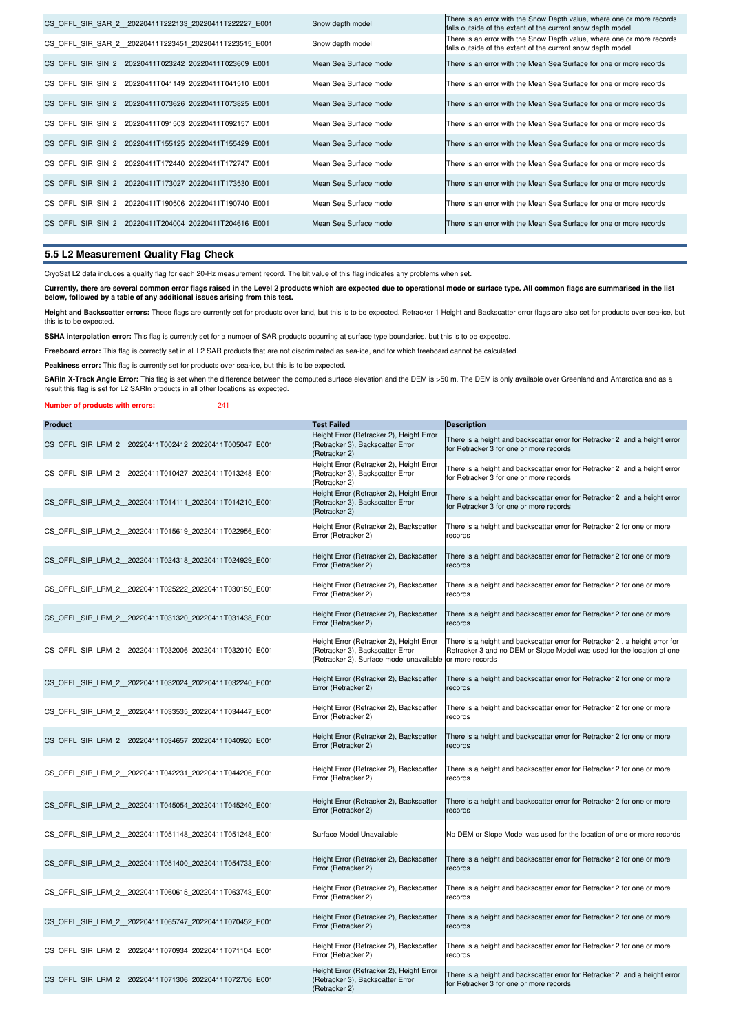| CS OFFL SIR SAR 2 20220411T222133 20220411T222227 E001 | Snow depth model       | There is an error with the Snow Depth value, where one or more records<br>falls outside of the extent of the current snow depth model |
|--------------------------------------------------------|------------------------|---------------------------------------------------------------------------------------------------------------------------------------|
| CS OFFL SIR SAR 2 20220411T223451 20220411T223515 E001 | Snow depth model       | There is an error with the Snow Depth value, where one or more records<br>falls outside of the extent of the current snow depth model |
| CS OFFL SIR SIN 2 20220411T023242 20220411T023609 E001 | Mean Sea Surface model | There is an error with the Mean Sea Surface for one or more records                                                                   |
| CS OFFL SIR SIN 2 20220411T041149 20220411T041510 E001 | Mean Sea Surface model | There is an error with the Mean Sea Surface for one or more records                                                                   |
| CS OFFL SIR SIN 2 20220411T073626 20220411T073825 E001 | Mean Sea Surface model | There is an error with the Mean Sea Surface for one or more records                                                                   |
| CS OFFL SIR SIN 2 20220411T091503 20220411T092157 E001 | Mean Sea Surface model | There is an error with the Mean Sea Surface for one or more records                                                                   |
| CS OFFL SIR SIN 2 20220411T155125 20220411T155429 E001 | Mean Sea Surface model | There is an error with the Mean Sea Surface for one or more records                                                                   |
| CS OFFL SIR SIN 2 20220411T172440 20220411T172747 E001 | Mean Sea Surface model | There is an error with the Mean Sea Surface for one or more records                                                                   |
| CS OFFL SIR SIN 2 20220411T173027 20220411T173530 E001 | Mean Sea Surface model | There is an error with the Mean Sea Surface for one or more records                                                                   |
| CS OFFL SIR SIN 2 20220411T190506 20220411T190740 E001 | Mean Sea Surface model | There is an error with the Mean Sea Surface for one or more records                                                                   |
| CS OFFL SIR SIN 2 20220411T204004 20220411T204616 E001 | Mean Sea Surface model | There is an error with the Mean Sea Surface for one or more records                                                                   |

## **5.5 L2 Measurement Quality Flag Check**

CryoSat L2 data includes a quality flag for each 20-Hz measurement record. The bit value of this flag indicates any problems when set.

**Currently, there are several common error flags raised in the Level 2 products which are expected due to operational mode or surface type. All common flags are summarised in the list below, followed by a table of any additional issues arising from this test.**

**Height and Backscatter errors:** These flags are currently set for products over land, but this is to be expected. Retracker 1 Height and Backscatter error flags are also set for products over sea-ice, but this is to be expected.

SSHA interpolation error: This flag is currently set for a number of SAR products occurring at surface type boundaries, but this is to be expected.

Freeboard error: This flag is correctly set in all L2 SAR products that are not discriminated as sea-ice, and for which freeboard cannot be calculated.

Peakiness error: This flag is currently set for products over sea-ice, but this is to be expected.

SARIn X-Track Angle Error: This flag is set when the difference between the computed surface elevation and the DEM is >50 m. The DEM is only available over Greenland and Antarctica and as a result this flag is set for L2 SARIn products in all other locations as expected.

#### **Number of products with errors:** 241

| <b>Product</b>                                         | <b>Test Failed</b>                                                                                                       | <b>Description</b>                                                                                                                                                       |
|--------------------------------------------------------|--------------------------------------------------------------------------------------------------------------------------|--------------------------------------------------------------------------------------------------------------------------------------------------------------------------|
| CS OFFL SIR LRM 2 20220411T002412 20220411T005047 E001 | Height Error (Retracker 2), Height Error<br>(Retracker 3), Backscatter Error<br>(Retracker 2)                            | There is a height and backscatter error for Retracker 2 and a height error<br>for Retracker 3 for one or more records                                                    |
| CS OFFL SIR LRM 2 20220411T010427 20220411T013248 E001 | Height Error (Retracker 2), Height Error<br>(Retracker 3), Backscatter Error<br>(Retracker 2)                            | There is a height and backscatter error for Retracker 2 and a height error<br>for Retracker 3 for one or more records                                                    |
| CS OFFL SIR LRM 2 20220411T014111 20220411T014210 E001 | Height Error (Retracker 2), Height Error<br>(Retracker 3), Backscatter Error<br>(Retracker 2)                            | There is a height and backscatter error for Retracker 2 and a height error<br>for Retracker 3 for one or more records                                                    |
| CS OFFL SIR LRM 2 20220411T015619 20220411T022956 E001 | Height Error (Retracker 2), Backscatter<br>Error (Retracker 2)                                                           | There is a height and backscatter error for Retracker 2 for one or more<br>records                                                                                       |
| CS OFFL SIR LRM 2 20220411T024318 20220411T024929 E001 | Height Error (Retracker 2), Backscatter<br>Error (Retracker 2)                                                           | There is a height and backscatter error for Retracker 2 for one or more<br>records                                                                                       |
| CS OFFL SIR LRM 2 20220411T025222 20220411T030150 E001 | Height Error (Retracker 2), Backscatter<br>Error (Retracker 2)                                                           | There is a height and backscatter error for Retracker 2 for one or more<br>records                                                                                       |
| CS OFFL SIR LRM 2 20220411T031320 20220411T031438 E001 | Height Error (Retracker 2), Backscatter<br>Error (Retracker 2)                                                           | There is a height and backscatter error for Retracker 2 for one or more<br>records                                                                                       |
| CS OFFL SIR LRM 2 20220411T032006 20220411T032010 E001 | Height Error (Retracker 2), Height Error<br>(Retracker 3), Backscatter Error<br>(Retracker 2), Surface model unavailable | There is a height and backscatter error for Retracker 2, a height error for<br>Retracker 3 and no DEM or Slope Model was used for the location of one<br>or more records |
| CS OFFL SIR LRM 2 20220411T032024 20220411T032240 E001 | Height Error (Retracker 2), Backscatter<br>Error (Retracker 2)                                                           | There is a height and backscatter error for Retracker 2 for one or more<br>records                                                                                       |
| CS OFFL SIR LRM 2 20220411T033535 20220411T034447 E001 | Height Error (Retracker 2), Backscatter<br>Error (Retracker 2)                                                           | There is a height and backscatter error for Retracker 2 for one or more<br>records                                                                                       |
| CS OFFL SIR LRM 2 20220411T034657 20220411T040920 E001 | Height Error (Retracker 2), Backscatter<br>Error (Retracker 2)                                                           | There is a height and backscatter error for Retracker 2 for one or more<br>records                                                                                       |
| CS OFFL SIR LRM 2 20220411T042231 20220411T044206 E001 | Height Error (Retracker 2), Backscatter<br>Error (Retracker 2)                                                           | There is a height and backscatter error for Retracker 2 for one or more<br>records                                                                                       |
| CS OFFL SIR LRM 2 20220411T045054 20220411T045240 E001 | Height Error (Retracker 2), Backscatter<br>Error (Retracker 2)                                                           | There is a height and backscatter error for Retracker 2 for one or more<br>records                                                                                       |
| CS OFFL SIR LRM 2 20220411T051148 20220411T051248 E001 | Surface Model Unavailable                                                                                                | No DEM or Slope Model was used for the location of one or more records                                                                                                   |
| CS OFFL SIR LRM 2 20220411T051400 20220411T054733 E001 | Height Error (Retracker 2), Backscatter<br>Error (Retracker 2)                                                           | There is a height and backscatter error for Retracker 2 for one or more<br>records                                                                                       |
| CS OFFL SIR LRM 2 20220411T060615 20220411T063743 E001 | Height Error (Retracker 2), Backscatter<br>Error (Retracker 2)                                                           | There is a height and backscatter error for Retracker 2 for one or more<br>records                                                                                       |
| CS OFFL SIR LRM 2 20220411T065747 20220411T070452 E001 | Height Error (Retracker 2), Backscatter<br>Error (Retracker 2)                                                           | There is a height and backscatter error for Retracker 2 for one or more<br>records                                                                                       |
| CS OFFL SIR LRM 2 20220411T070934 20220411T071104 E001 | Height Error (Retracker 2), Backscatter<br>Error (Retracker 2)                                                           | There is a height and backscatter error for Retracker 2 for one or more<br>records                                                                                       |
| CS OFFL SIR LRM 2 20220411T071306 20220411T072706 E001 | Height Error (Retracker 2), Height Error<br>(Retracker 3), Backscatter Error<br>(Retracker 2)                            | There is a height and backscatter error for Retracker 2 and a height error<br>for Retracker 3 for one or more records                                                    |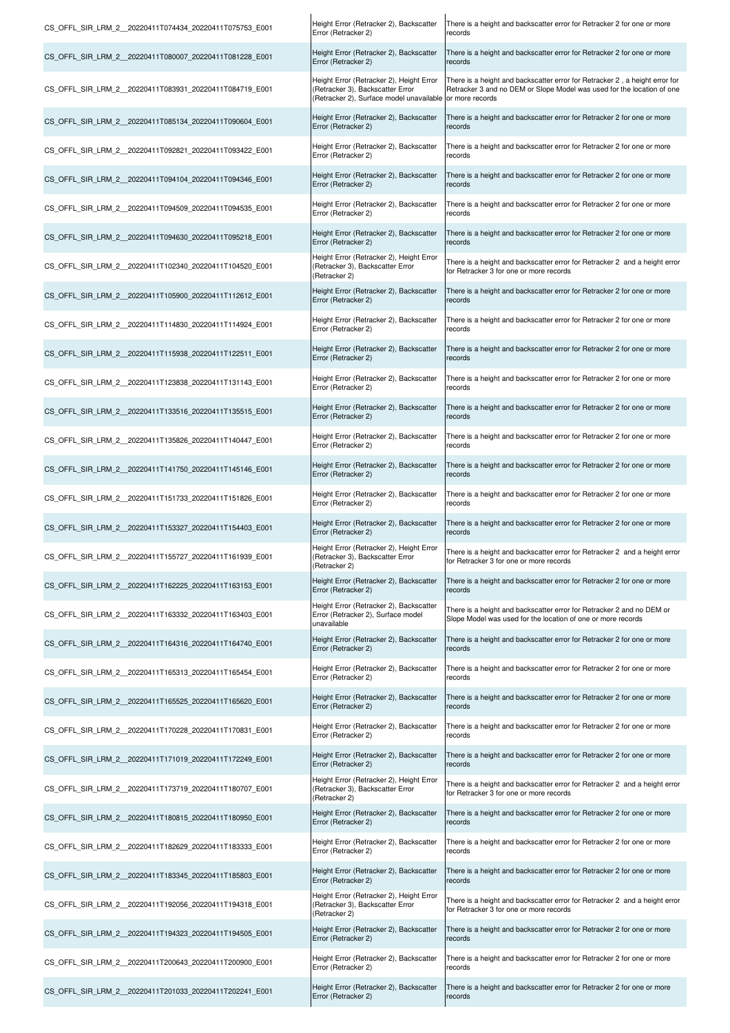| CS_OFFL_SIR_LRM_2_20220411T074434_20220411T075753_E001 | Height Error (Retracker 2), Backscatter<br>Error (Retracker 2)                                                           | There is a height and backscatter error for Retracker 2 for one or more<br>records                                                                                       |
|--------------------------------------------------------|--------------------------------------------------------------------------------------------------------------------------|--------------------------------------------------------------------------------------------------------------------------------------------------------------------------|
| CS OFFL SIR LRM 2 20220411T080007 20220411T081228 E001 | Height Error (Retracker 2), Backscatter<br>Error (Retracker 2)                                                           | There is a height and backscatter error for Retracker 2 for one or more<br>records                                                                                       |
| CS OFFL SIR LRM 2 20220411T083931 20220411T084719 E001 | Height Error (Retracker 2), Height Error<br>(Retracker 3), Backscatter Error<br>(Retracker 2), Surface model unavailable | There is a height and backscatter error for Retracker 2, a height error for<br>Retracker 3 and no DEM or Slope Model was used for the location of one<br>or more records |
| CS OFFL SIR LRM 2 20220411T085134 20220411T090604 E001 | Height Error (Retracker 2), Backscatter<br>Error (Retracker 2)                                                           | There is a height and backscatter error for Retracker 2 for one or more<br>records                                                                                       |
| CS OFFL SIR LRM 2 20220411T092821 20220411T093422 E001 | Height Error (Retracker 2), Backscatter<br>Error (Retracker 2)                                                           | There is a height and backscatter error for Retracker 2 for one or more<br>records                                                                                       |
| CS OFFL SIR LRM 2 20220411T094104 20220411T094346 E001 | Height Error (Retracker 2), Backscatter<br>Error (Retracker 2)                                                           | There is a height and backscatter error for Retracker 2 for one or more<br>records                                                                                       |
| CS OFFL SIR LRM 2 20220411T094509 20220411T094535 E001 | Height Error (Retracker 2), Backscatter<br>Error (Retracker 2)                                                           | There is a height and backscatter error for Retracker 2 for one or more<br>records                                                                                       |
| CS OFFL SIR LRM 2 20220411T094630 20220411T095218 E001 | Height Error (Retracker 2), Backscatter<br>Error (Retracker 2)                                                           | There is a height and backscatter error for Retracker 2 for one or more<br>records                                                                                       |
| CS OFFL SIR LRM 2 20220411T102340 20220411T104520 E001 | Height Error (Retracker 2), Height Error<br>(Retracker 3), Backscatter Error<br>(Retracker 2)                            | There is a height and backscatter error for Retracker 2 and a height error<br>for Retracker 3 for one or more records                                                    |
| CS OFFL SIR LRM 2 20220411T105900 20220411T112612 E001 | Height Error (Retracker 2), Backscatter<br>Error (Retracker 2)                                                           | There is a height and backscatter error for Retracker 2 for one or more<br>records                                                                                       |
| CS OFFL SIR LRM 2 20220411T114830 20220411T114924 E001 | Height Error (Retracker 2), Backscatter<br>Error (Retracker 2)                                                           | There is a height and backscatter error for Retracker 2 for one or more<br>records                                                                                       |
| CS OFFL SIR LRM 2 20220411T115938 20220411T122511 E001 | Height Error (Retracker 2), Backscatter<br>Error (Retracker 2)                                                           | There is a height and backscatter error for Retracker 2 for one or more<br>records                                                                                       |
| CS OFFL SIR LRM 2 20220411T123838 20220411T131143 E001 | Height Error (Retracker 2), Backscatter<br>Error (Retracker 2)                                                           | There is a height and backscatter error for Retracker 2 for one or more<br>records                                                                                       |
| CS OFFL SIR LRM 2 20220411T133516 20220411T135515 E001 | Height Error (Retracker 2), Backscatter<br>Error (Retracker 2)                                                           | There is a height and backscatter error for Retracker 2 for one or more<br>records                                                                                       |
| CS OFFL SIR LRM 2 20220411T135826 20220411T140447 E001 | Height Error (Retracker 2), Backscatter<br>Error (Retracker 2)                                                           | There is a height and backscatter error for Retracker 2 for one or more<br>records                                                                                       |
| CS OFFL SIR LRM 2 20220411T141750 20220411T145146 E001 | Height Error (Retracker 2), Backscatter<br>Error (Retracker 2)                                                           | There is a height and backscatter error for Retracker 2 for one or more<br>records                                                                                       |
| CS OFFL SIR LRM 2 20220411T151733 20220411T151826 E001 | Height Error (Retracker 2), Backscatter<br>Error (Retracker 2)                                                           | There is a height and backscatter error for Retracker 2 for one or more<br>records                                                                                       |
| CS OFFL SIR LRM 2 20220411T153327 20220411T154403 E001 | Height Error (Retracker 2), Backscatter<br>Error (Retracker 2)                                                           | There is a height and backscatter error for Retracker 2 for one or more<br>records                                                                                       |
| CS OFFL SIR LRM 2 20220411T155727 20220411T161939 E001 | Height Error (Retracker 2), Height Error<br>(Retracker 3), Backscatter Error<br>(Retracker 2)                            | There is a height and backscatter error for Retracker 2 and a height error<br>for Retracker 3 for one or more records                                                    |
| CS OFFL SIR LRM 2 20220411T162225 20220411T163153 E001 | Height Error (Retracker 2), Backscatter<br>Error (Retracker 2)                                                           | There is a height and backscatter error for Retracker 2 for one or more<br>records                                                                                       |
| CS OFFL SIR LRM 2 20220411T163332 20220411T163403 E001 | Height Error (Retracker 2), Backscatter<br>Error (Retracker 2), Surface model<br>unavailable                             | There is a height and backscatter error for Retracker 2 and no DEM or<br>Slope Model was used for the location of one or more records                                    |
| CS OFFL SIR LRM 2 20220411T164316 20220411T164740 E001 | Height Error (Retracker 2), Backscatter<br>Error (Retracker 2)                                                           | There is a height and backscatter error for Retracker 2 for one or more<br>records                                                                                       |
| CS OFFL SIR LRM 2 20220411T165313 20220411T165454 E001 | Height Error (Retracker 2), Backscatter<br>Error (Retracker 2)                                                           | There is a height and backscatter error for Retracker 2 for one or more<br>records                                                                                       |
| CS OFFL SIR LRM 2 20220411T165525 20220411T165620 E001 | Height Error (Retracker 2), Backscatter<br>Error (Retracker 2)                                                           | There is a height and backscatter error for Retracker 2 for one or more<br>records                                                                                       |
| CS OFFL SIR LRM 2 20220411T170228 20220411T170831 E001 | Height Error (Retracker 2), Backscatter<br>Error (Retracker 2)                                                           | There is a height and backscatter error for Retracker 2 for one or more<br>records                                                                                       |
| CS OFFL SIR LRM 2 20220411T171019 20220411T172249 E001 | Height Error (Retracker 2), Backscatter<br>Error (Retracker 2)                                                           | There is a height and backscatter error for Retracker 2 for one or more<br>records                                                                                       |
| CS OFFL SIR LRM 2 20220411T173719 20220411T180707 E001 | Height Error (Retracker 2), Height Error<br>(Retracker 3), Backscatter Error<br>(Retracker 2)                            | There is a height and backscatter error for Retracker 2 and a height error<br>for Retracker 3 for one or more records                                                    |
| CS OFFL SIR LRM 2 20220411T180815 20220411T180950 E001 | Height Error (Retracker 2), Backscatter<br>Error (Retracker 2)                                                           | There is a height and backscatter error for Retracker 2 for one or more<br>records                                                                                       |
| CS OFFL SIR LRM 2 20220411T182629 20220411T183333 E001 | Height Error (Retracker 2), Backscatter<br>Error (Retracker 2)                                                           | There is a height and backscatter error for Retracker 2 for one or more<br>records                                                                                       |
| CS OFFL SIR LRM 2 20220411T183345 20220411T185803 E001 | Height Error (Retracker 2), Backscatter<br>Error (Retracker 2)                                                           | There is a height and backscatter error for Retracker 2 for one or more<br>records                                                                                       |
| CS OFFL SIR LRM 2 20220411T192056 20220411T194318 E001 | Height Error (Retracker 2), Height Error<br>(Retracker 3), Backscatter Error<br>(Retracker 2)                            | There is a height and backscatter error for Retracker 2 and a height error<br>for Retracker 3 for one or more records                                                    |
| CS OFFL SIR LRM 2 20220411T194323 20220411T194505 E001 | Height Error (Retracker 2), Backscatter<br>Error (Retracker 2)                                                           | There is a height and backscatter error for Retracker 2 for one or more<br>records                                                                                       |
| CS OFFL SIR LRM 2 20220411T200643 20220411T200900 E001 | Height Error (Retracker 2), Backscatter<br>Error (Retracker 2)                                                           | There is a height and backscatter error for Retracker 2 for one or more<br>records                                                                                       |
| CS OFFL SIR LRM 2 20220411T201033 20220411T202241 E001 | Height Error (Retracker 2), Backscatter<br>Error (Retracker 2)                                                           | There is a height and backscatter error for Retracker 2 for one or more<br>records                                                                                       |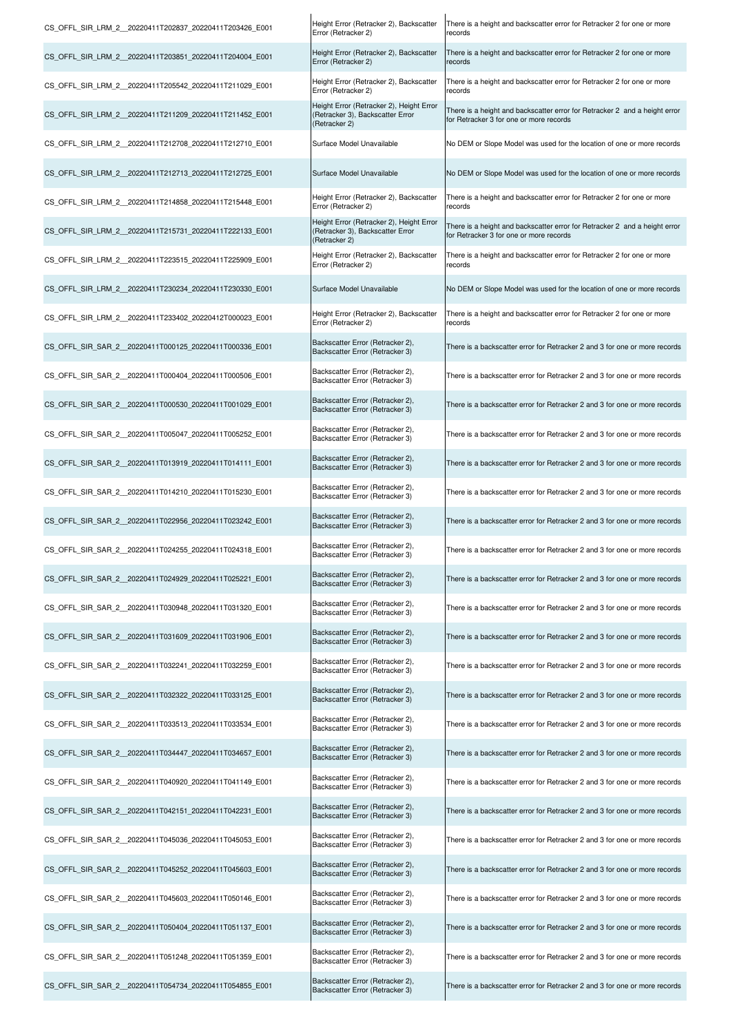| CS_OFFL_SIR_LRM_2_20220411T202837_20220411T203426_E001 | Height Error (Retracker 2), Backscatter<br>Error (Retracker 2)                                | There is a height and backscatter error for Retracker 2 for one or more<br>records                                    |
|--------------------------------------------------------|-----------------------------------------------------------------------------------------------|-----------------------------------------------------------------------------------------------------------------------|
| CS OFFL SIR LRM 2 20220411T203851 20220411T204004 E001 | Height Error (Retracker 2), Backscatter<br>Error (Retracker 2)                                | There is a height and backscatter error for Retracker 2 for one or more<br>records                                    |
| CS OFFL SIR LRM 2 20220411T205542 20220411T211029 E001 | Height Error (Retracker 2), Backscatter<br>Error (Retracker 2)                                | There is a height and backscatter error for Retracker 2 for one or more<br>records                                    |
| CS_OFFL_SIR_LRM_2_20220411T211209_20220411T211452_E001 | Height Error (Retracker 2), Height Error<br>(Retracker 3), Backscatter Error<br>(Retracker 2) | There is a height and backscatter error for Retracker 2 and a height error<br>for Retracker 3 for one or more records |
| CS OFFL SIR LRM 2 20220411T212708 20220411T212710 E001 | Surface Model Unavailable                                                                     | No DEM or Slope Model was used for the location of one or more records                                                |
|                                                        | Surface Model Unavailable                                                                     | No DEM or Slope Model was used for the location of one or more records                                                |
| CS OFFL SIR LRM 2 20220411T214858 20220411T215448 E001 | Height Error (Retracker 2), Backscatter<br>Error (Retracker 2)                                | There is a height and backscatter error for Retracker 2 for one or more<br>records                                    |
| CS OFFL SIR LRM 2 20220411T215731 20220411T222133 E001 | Height Error (Retracker 2), Height Error<br>(Retracker 3), Backscatter Error<br>(Retracker 2) | There is a height and backscatter error for Retracker 2 and a height error<br>for Retracker 3 for one or more records |
| CS OFFL SIR LRM 2 20220411T223515 20220411T225909 E001 | Height Error (Retracker 2), Backscatter<br>Error (Retracker 2)                                | There is a height and backscatter error for Retracker 2 for one or more<br>records                                    |
| CS OFFL SIR LRM 2 20220411T230234 20220411T230330 E001 | Surface Model Unavailable                                                                     | No DEM or Slope Model was used for the location of one or more records                                                |
| CS OFFL SIR LRM 2 20220411T233402 20220412T000023 E001 | Height Error (Retracker 2), Backscatter<br>Error (Retracker 2)                                | There is a height and backscatter error for Retracker 2 for one or more<br>records                                    |
| CS_OFFL_SIR_SAR_2_20220411T000125_20220411T000336_E001 | Backscatter Error (Retracker 2),<br>Backscatter Error (Retracker 3)                           | There is a backscatter error for Retracker 2 and 3 for one or more records                                            |
| CS_OFFL_SIR_SAR_2_20220411T000404_20220411T000506_E001 | Backscatter Error (Retracker 2),<br>Backscatter Error (Retracker 3)                           | There is a backscatter error for Retracker 2 and 3 for one or more records                                            |
| CS OFFL SIR SAR 2 20220411T000530 20220411T001029 E001 | Backscatter Error (Retracker 2),<br>Backscatter Error (Retracker 3)                           | There is a backscatter error for Retracker 2 and 3 for one or more records                                            |
| CS OFFL SIR SAR 2 20220411T005047 20220411T005252 E001 | Backscatter Error (Retracker 2),<br>Backscatter Error (Retracker 3)                           | There is a backscatter error for Retracker 2 and 3 for one or more records                                            |
| CS OFFL SIR SAR 2 20220411T013919 20220411T014111 E001 | Backscatter Error (Retracker 2),<br>Backscatter Error (Retracker 3)                           | There is a backscatter error for Retracker 2 and 3 for one or more records                                            |
| CS OFFL SIR SAR 2 20220411T014210 20220411T015230 E001 | Backscatter Error (Retracker 2),<br>Backscatter Error (Retracker 3)                           | There is a backscatter error for Retracker 2 and 3 for one or more records                                            |
| CS OFFL SIR SAR 2 20220411T022956 20220411T023242 E001 | Backscatter Error (Retracker 2),<br>Backscatter Error (Retracker 3)                           | There is a backscatter error for Retracker 2 and 3 for one or more records                                            |
| CS OFFL SIR SAR 2 20220411T024255 20220411T024318 E001 | Backscatter Error (Retracker 2),<br>Backscatter Error (Retracker 3)                           | There is a backscatter error for Retracker 2 and 3 for one or more records                                            |
| CS OFFL SIR SAR 2 20220411T024929 20220411T025221 E001 | Backscatter Error (Retracker 2),<br>Backscatter Error (Retracker 3)                           | There is a backscatter error for Retracker 2 and 3 for one or more records                                            |
| CS OFFL SIR SAR 2 20220411T030948 20220411T031320 E001 | Backscatter Error (Retracker 2),<br>Backscatter Error (Retracker 3)                           | There is a backscatter error for Retracker 2 and 3 for one or more records                                            |
| CS OFFL SIR SAR 2 20220411T031609 20220411T031906 E001 | Backscatter Error (Retracker 2),<br>Backscatter Error (Retracker 3)                           | There is a backscatter error for Retracker 2 and 3 for one or more records                                            |
| CS OFFL SIR SAR 2 20220411T032241 20220411T032259 E001 | Backscatter Error (Retracker 2),<br>Backscatter Error (Retracker 3)                           | There is a backscatter error for Retracker 2 and 3 for one or more records                                            |
| CS OFFL SIR SAR 2 20220411T032322 20220411T033125 E001 | Backscatter Error (Retracker 2),<br>Backscatter Error (Retracker 3)                           | There is a backscatter error for Retracker 2 and 3 for one or more records                                            |
| CS OFFL SIR SAR 2 20220411T033513 20220411T033534 E001 | Backscatter Error (Retracker 2),<br>Backscatter Error (Retracker 3)                           | There is a backscatter error for Retracker 2 and 3 for one or more records                                            |
| CS OFFL SIR SAR 2 20220411T034447 20220411T034657 E001 | Backscatter Error (Retracker 2),<br>Backscatter Error (Retracker 3)                           | There is a backscatter error for Retracker 2 and 3 for one or more records                                            |
| CS OFFL SIR SAR 2 20220411T040920 20220411T041149 E001 | Backscatter Error (Retracker 2),<br>Backscatter Error (Retracker 3)                           | There is a backscatter error for Retracker 2 and 3 for one or more records                                            |
| CS OFFL SIR SAR 2 20220411T042151 20220411T042231 E001 | Backscatter Error (Retracker 2),<br>Backscatter Error (Retracker 3)                           | There is a backscatter error for Retracker 2 and 3 for one or more records                                            |
| CS OFFL SIR SAR 2 20220411T045036 20220411T045053 E001 | Backscatter Error (Retracker 2),<br>Backscatter Error (Retracker 3)                           | There is a backscatter error for Retracker 2 and 3 for one or more records                                            |
| CS OFFL SIR SAR 2 20220411T045252 20220411T045603 E001 | Backscatter Error (Retracker 2),<br>Backscatter Error (Retracker 3)                           | There is a backscatter error for Retracker 2 and 3 for one or more records                                            |
| CS OFFL SIR SAR 2 20220411T045603 20220411T050146 E001 | Backscatter Error (Retracker 2),<br>Backscatter Error (Retracker 3)                           | There is a backscatter error for Retracker 2 and 3 for one or more records                                            |
| CS_OFFL_SIR_SAR_2_20220411T050404_20220411T051137_E001 | Backscatter Error (Retracker 2),<br>Backscatter Error (Retracker 3)                           | There is a backscatter error for Retracker 2 and 3 for one or more records                                            |
| CS OFFL SIR SAR 2 20220411T051248 20220411T051359 E001 | Backscatter Error (Retracker 2),<br>Backscatter Error (Retracker 3)                           | There is a backscatter error for Retracker 2 and 3 for one or more records                                            |
| CS OFFL SIR SAR 2 20220411T054734 20220411T054855 E001 | Backscatter Error (Retracker 2),<br>Backscatter Error (Retracker 3)                           | There is a backscatter error for Retracker 2 and 3 for one or more records                                            |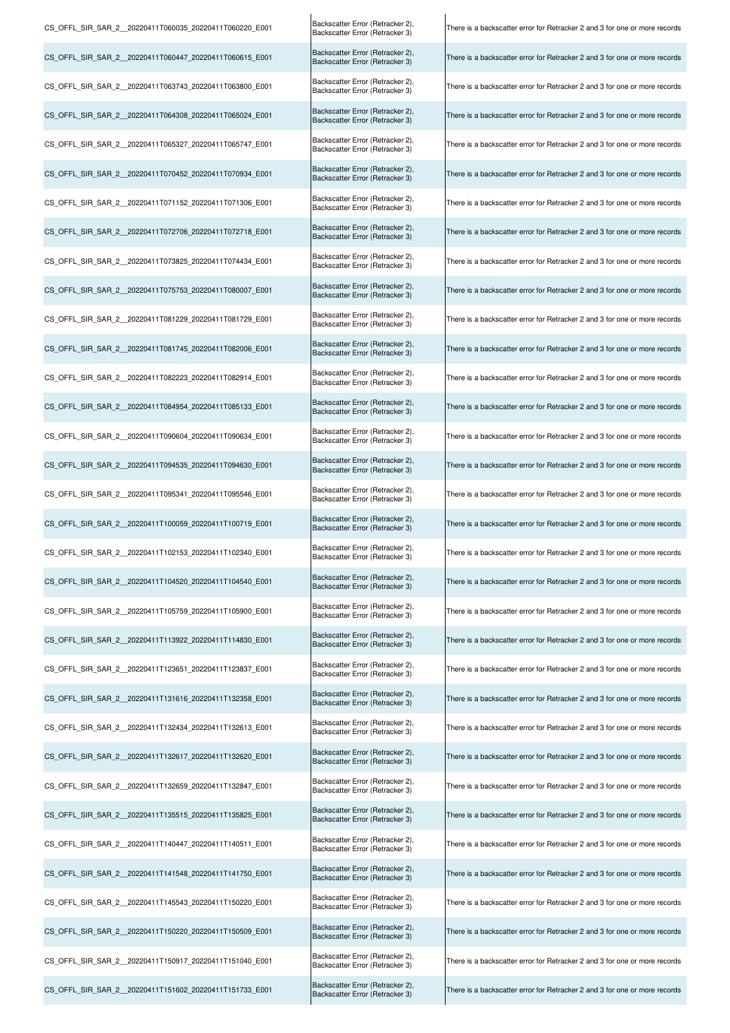| CS OFFL SIR SAR 2 20220411T060035 20220411T060220 E001 | Backscatter Error (Retracker 2),<br>Backscatter Error (Retracker 3) | There is a backscatter error for Retracker 2 and 3 for one or more records |
|--------------------------------------------------------|---------------------------------------------------------------------|----------------------------------------------------------------------------|
| CS OFFL SIR SAR 2 20220411T060447 20220411T060615 E001 | Backscatter Error (Retracker 2),<br>Backscatter Error (Retracker 3) | There is a backscatter error for Retracker 2 and 3 for one or more records |
| CS OFFL SIR SAR 2 20220411T063743 20220411T063800 E001 | Backscatter Error (Retracker 2),<br>Backscatter Error (Retracker 3) | There is a backscatter error for Retracker 2 and 3 for one or more records |
| CS_OFFL_SIR_SAR_2_20220411T064308_20220411T065024_E001 | Backscatter Error (Retracker 2),<br>Backscatter Error (Retracker 3) | There is a backscatter error for Retracker 2 and 3 for one or more records |
| CS_OFFL_SIR_SAR_2_20220411T065327_20220411T065747_E001 | Backscatter Error (Retracker 2),<br>Backscatter Error (Retracker 3) | There is a backscatter error for Retracker 2 and 3 for one or more records |
| CS_OFFL_SIR_SAR_2_20220411T070452_20220411T070934_E001 | Backscatter Error (Retracker 2),<br>Backscatter Error (Retracker 3) | There is a backscatter error for Retracker 2 and 3 for one or more records |
| CS OFFL SIR SAR 2 20220411T071152 20220411T071306 E001 | Backscatter Error (Retracker 2),<br>Backscatter Error (Retracker 3) | There is a backscatter error for Retracker 2 and 3 for one or more records |
| CS_OFFL_SIR_SAR_2_20220411T072706_20220411T072718_E001 | Backscatter Error (Retracker 2),<br>Backscatter Error (Retracker 3) | There is a backscatter error for Retracker 2 and 3 for one or more records |
| CS OFFL SIR SAR 2 20220411T073825 20220411T074434 E001 | Backscatter Error (Retracker 2),<br>Backscatter Error (Retracker 3) | There is a backscatter error for Retracker 2 and 3 for one or more records |
| CS_OFFL_SIR_SAR_2_20220411T075753_20220411T080007_E001 | Backscatter Error (Retracker 2),<br>Backscatter Error (Retracker 3) | There is a backscatter error for Retracker 2 and 3 for one or more records |
| CS_OFFL_SIR_SAR_2_20220411T081229_20220411T081729_E001 | Backscatter Error (Retracker 2),<br>Backscatter Error (Retracker 3) | There is a backscatter error for Retracker 2 and 3 for one or more records |
| CS_OFFL_SIR_SAR_2_20220411T081745_20220411T082006_E001 | Backscatter Error (Retracker 2),<br>Backscatter Error (Retracker 3) | There is a backscatter error for Retracker 2 and 3 for one or more records |
| CS OFFL SIR SAR 2 20220411T082223 20220411T082914 E001 | Backscatter Error (Retracker 2),<br>Backscatter Error (Retracker 3) | There is a backscatter error for Retracker 2 and 3 for one or more records |
| CS_OFFL_SIR_SAR_2_20220411T084954_20220411T085133_E001 | Backscatter Error (Retracker 2),<br>Backscatter Error (Retracker 3) | There is a backscatter error for Retracker 2 and 3 for one or more records |
| CS OFFL SIR SAR 2 20220411T090604 20220411T090634 E001 | Backscatter Error (Retracker 2),<br>Backscatter Error (Retracker 3) | There is a backscatter error for Retracker 2 and 3 for one or more records |
| CS OFFL SIR SAR 2 20220411T094535 20220411T094630 E001 | Backscatter Error (Retracker 2),<br>Backscatter Error (Retracker 3) | There is a backscatter error for Retracker 2 and 3 for one or more records |
| CS_OFFL_SIR_SAR_2_20220411T095341_20220411T095546_E001 | Backscatter Error (Retracker 2),<br>Backscatter Error (Retracker 3) | There is a backscatter error for Retracker 2 and 3 for one or more records |
| CS_OFFL_SIR_SAR_2_20220411T100059_20220411T100719_E001 | Backscatter Error (Retracker 2),<br>Backscatter Error (Retracker 3) | There is a backscatter error for Retracker 2 and 3 for one or more records |
| CS_OFFL_SIR_SAR_2_20220411T102153_20220411T102340_E001 | Backscatter Error (Retracker 2),<br>Backscatter Error (Retracker 3) | There is a backscatter error for Retracker 2 and 3 for one or more records |
| CS OFFL SIR SAR 2 20220411T104520 20220411T104540 E001 | Backscatter Error (Retracker 2),<br>Backscatter Error (Retracker 3) | There is a backscatter error for Retracker 2 and 3 for one or more records |
| CS OFFL SIR SAR 2 20220411T105759 20220411T105900 E001 | Backscatter Error (Retracker 2),<br>Backscatter Error (Retracker 3) | There is a backscatter error for Retracker 2 and 3 for one or more records |
| CS OFFL SIR SAR 2 20220411T113922 20220411T114830 E001 | Backscatter Error (Retracker 2),<br>Backscatter Error (Retracker 3) | There is a backscatter error for Retracker 2 and 3 for one or more records |
| CS OFFL SIR SAR 2 20220411T123651 20220411T123837 E001 | Backscatter Error (Retracker 2),<br>Backscatter Error (Retracker 3) | There is a backscatter error for Retracker 2 and 3 for one or more records |
| CS OFFL SIR SAR 2 20220411T131616 20220411T132358 E001 | Backscatter Error (Retracker 2),<br>Backscatter Error (Retracker 3) | There is a backscatter error for Retracker 2 and 3 for one or more records |
| CS_OFFL_SIR_SAR_2_20220411T132434_20220411T132613_E001 | Backscatter Error (Retracker 2),<br>Backscatter Error (Retracker 3) | There is a backscatter error for Retracker 2 and 3 for one or more records |
| CS OFFL SIR SAR 2 20220411T132617 20220411T132620 E001 | Backscatter Error (Retracker 2),<br>Backscatter Error (Retracker 3) | There is a backscatter error for Retracker 2 and 3 for one or more records |
| CS OFFL SIR SAR 2 20220411T132659 20220411T132847 E001 | Backscatter Error (Retracker 2),<br>Backscatter Error (Retracker 3) | There is a backscatter error for Retracker 2 and 3 for one or more records |
| CS OFFL SIR SAR 2 20220411T135515 20220411T135825 E001 | Backscatter Error (Retracker 2),<br>Backscatter Error (Retracker 3) | There is a backscatter error for Retracker 2 and 3 for one or more records |
| CS OFFL SIR SAR 2 20220411T140447 20220411T140511 E001 | Backscatter Error (Retracker 2),<br>Backscatter Error (Retracker 3) | There is a backscatter error for Retracker 2 and 3 for one or more records |
| CS_OFFL_SIR_SAR_2_20220411T141548_20220411T141750_E001 | Backscatter Error (Retracker 2),<br>Backscatter Error (Retracker 3) | There is a backscatter error for Retracker 2 and 3 for one or more records |
| CS_OFFL_SIR_SAR_2_20220411T145543_20220411T150220_E001 | Backscatter Error (Retracker 2),<br>Backscatter Error (Retracker 3) | There is a backscatter error for Retracker 2 and 3 for one or more records |
| CS_OFFL_SIR_SAR_2_20220411T150220_20220411T150509_E001 | Backscatter Error (Retracker 2),<br>Backscatter Error (Retracker 3) | There is a backscatter error for Retracker 2 and 3 for one or more records |
| CS OFFL SIR SAR 2 20220411T150917 20220411T151040 E001 | Backscatter Error (Retracker 2),<br>Backscatter Error (Retracker 3) | There is a backscatter error for Retracker 2 and 3 for one or more records |
| CS OFFL SIR SAR 2 20220411T151602 20220411T151733 E001 | Backscatter Error (Retracker 2),<br>Backscatter Error (Retracker 3) | There is a backscatter error for Retracker 2 and 3 for one or more records |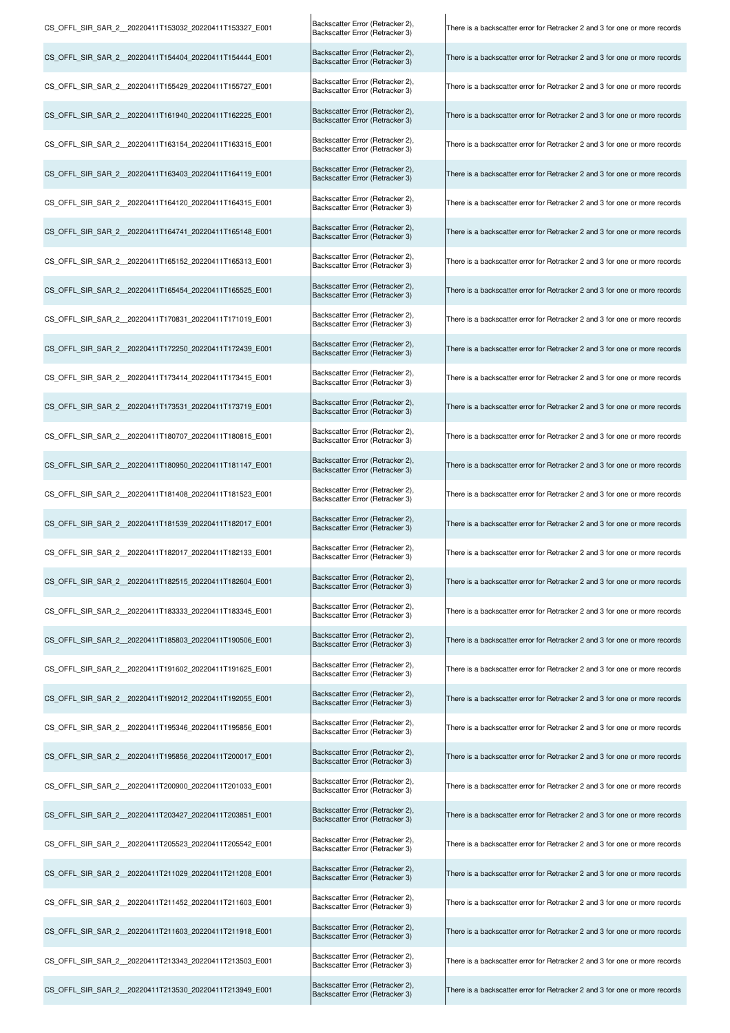| CS_OFFL_SIR_SAR_2_20220411T153032_20220411T153327_E001  | Backscatter Error (Retracker 2),<br>Backscatter Error (Retracker 3) | There is a backscatter error for Retracker 2 and 3 for one or more records |
|---------------------------------------------------------|---------------------------------------------------------------------|----------------------------------------------------------------------------|
| CS OFFL SIR SAR 2 20220411T154404 20220411T154444 E001  | Backscatter Error (Retracker 2),<br>Backscatter Error (Retracker 3) | There is a backscatter error for Retracker 2 and 3 for one or more records |
| CS OFFL SIR SAR 2 20220411T155429 20220411T155727 E001  | Backscatter Error (Retracker 2),<br>Backscatter Error (Retracker 3) | There is a backscatter error for Retracker 2 and 3 for one or more records |
| CS_OFFL_SIR_SAR_2_20220411T161940_20220411T162225_E001  | Backscatter Error (Retracker 2),<br>Backscatter Error (Retracker 3) | There is a backscatter error for Retracker 2 and 3 for one or more records |
| CS_OFFL_SIR_SAR_2__20220411T163154_20220411T163315_E001 | Backscatter Error (Retracker 2),<br>Backscatter Error (Retracker 3) | There is a backscatter error for Retracker 2 and 3 for one or more records |
| CS_OFFL_SIR_SAR_2_20220411T163403_20220411T164119_E001  | Backscatter Error (Retracker 2),<br>Backscatter Error (Retracker 3) | There is a backscatter error for Retracker 2 and 3 for one or more records |
| CS_OFFL_SIR_SAR_2__20220411T164120_20220411T164315_E001 | Backscatter Error (Retracker 2),<br>Backscatter Error (Retracker 3) | There is a backscatter error for Retracker 2 and 3 for one or more records |
| CS_OFFL_SIR_SAR_2_20220411T164741_20220411T165148_E001  | Backscatter Error (Retracker 2),<br>Backscatter Error (Retracker 3) | There is a backscatter error for Retracker 2 and 3 for one or more records |
| CS OFFL SIR SAR 2 20220411T165152 20220411T165313 E001  | Backscatter Error (Retracker 2),<br>Backscatter Error (Retracker 3) | There is a backscatter error for Retracker 2 and 3 for one or more records |
| CS_OFFL_SIR_SAR_2_20220411T165454_20220411T165525_E001  | Backscatter Error (Retracker 2),<br>Backscatter Error (Retracker 3) | There is a backscatter error for Retracker 2 and 3 for one or more records |
| CS_OFFL_SIR_SAR_2_20220411T170831_20220411T171019_E001  | Backscatter Error (Retracker 2),<br>Backscatter Error (Retracker 3) | There is a backscatter error for Retracker 2 and 3 for one or more records |
| CS OFFL SIR SAR 2 20220411T172250 20220411T172439 E001  | Backscatter Error (Retracker 2),<br>Backscatter Error (Retracker 3) | There is a backscatter error for Retracker 2 and 3 for one or more records |
| CS OFFL SIR SAR 2 20220411T173414 20220411T173415 E001  | Backscatter Error (Retracker 2),<br>Backscatter Error (Retracker 3) | There is a backscatter error for Retracker 2 and 3 for one or more records |
| CS_OFFL_SIR_SAR_2_20220411T173531_20220411T173719_E001  | Backscatter Error (Retracker 2),<br>Backscatter Error (Retracker 3) | There is a backscatter error for Retracker 2 and 3 for one or more records |
| CS OFFL SIR SAR 2 20220411T180707 20220411T180815 E001  | Backscatter Error (Retracker 2),<br>Backscatter Error (Retracker 3) | There is a backscatter error for Retracker 2 and 3 for one or more records |
| CS_OFFL_SIR_SAR_2_20220411T180950_20220411T181147_E001  | Backscatter Error (Retracker 2),<br>Backscatter Error (Retracker 3) | There is a backscatter error for Retracker 2 and 3 for one or more records |
| CS_OFFL_SIR_SAR_2_20220411T181408_20220411T181523_E001  | Backscatter Error (Retracker 2),<br>Backscatter Error (Retracker 3) | There is a backscatter error for Retracker 2 and 3 for one or more records |
| CS_OFFL_SIR_SAR_2_20220411T181539_20220411T182017_E001  | Backscatter Error (Retracker 2),<br>Backscatter Error (Retracker 3) | There is a backscatter error for Retracker 2 and 3 for one or more records |
| CS_OFFL_SIR_SAR_2_20220411T182017_20220411T182133_E001  | Backscatter Error (Retracker 2),<br>Backscatter Error (Retracker 3) | There is a backscatter error for Retracker 2 and 3 for one or more records |
| CS OFFL SIR SAR 2 20220411T182515 20220411T182604 E001  | Backscatter Error (Retracker 2),<br>Backscatter Error (Retracker 3) | There is a backscatter error for Retracker 2 and 3 for one or more records |
| CS OFFL SIR SAR 2 20220411T183333 20220411T183345 E001  | Backscatter Error (Retracker 2),<br>Backscatter Error (Retracker 3) | There is a backscatter error for Retracker 2 and 3 for one or more records |
| CS OFFL SIR SAR 2 20220411T185803 20220411T190506 E001  | Backscatter Error (Retracker 2),<br>Backscatter Error (Retracker 3) | There is a backscatter error for Retracker 2 and 3 for one or more records |
| CS_OFFL_SIR_SAR_2_20220411T191602_20220411T191625_E001  | Backscatter Error (Retracker 2),<br>Backscatter Error (Retracker 3) | There is a backscatter error for Retracker 2 and 3 for one or more records |
| CS_OFFL_SIR_SAR_2_20220411T192012_20220411T192055_E001  | Backscatter Error (Retracker 2),<br>Backscatter Error (Retracker 3) | There is a backscatter error for Retracker 2 and 3 for one or more records |
| CS_OFFL_SIR_SAR_2_20220411T195346_20220411T195856_E001  | Backscatter Error (Retracker 2),<br>Backscatter Error (Retracker 3) | There is a backscatter error for Retracker 2 and 3 for one or more records |
| CS OFFL SIR SAR 2 20220411T195856 20220411T200017 E001  | Backscatter Error (Retracker 2),<br>Backscatter Error (Retracker 3) | There is a backscatter error for Retracker 2 and 3 for one or more records |
| CS OFFL SIR SAR 2 20220411T200900 20220411T201033 E001  | Backscatter Error (Retracker 2),<br>Backscatter Error (Retracker 3) | There is a backscatter error for Retracker 2 and 3 for one or more records |
| CS OFFL SIR SAR 2 20220411T203427 20220411T203851 E001  | Backscatter Error (Retracker 2),<br>Backscatter Error (Retracker 3) | There is a backscatter error for Retracker 2 and 3 for one or more records |
| CS OFFL SIR SAR 2 20220411T205523 20220411T205542 E001  | Backscatter Error (Retracker 2),<br>Backscatter Error (Retracker 3) | There is a backscatter error for Retracker 2 and 3 for one or more records |
| CS_OFFL_SIR_SAR_2_20220411T211029_20220411T211208_E001  | Backscatter Error (Retracker 2),<br>Backscatter Error (Retracker 3) | There is a backscatter error for Retracker 2 and 3 for one or more records |
| CS_OFFL_SIR_SAR_2__20220411T211452_20220411T211603_E001 | Backscatter Error (Retracker 2),<br>Backscatter Error (Retracker 3) | There is a backscatter error for Retracker 2 and 3 for one or more records |
| CS_OFFL_SIR_SAR_2_20220411T211603_20220411T211918_E001  | Backscatter Error (Retracker 2),<br>Backscatter Error (Retracker 3) | There is a backscatter error for Retracker 2 and 3 for one or more records |
| CS OFFL SIR SAR 2 20220411T213343 20220411T213503 E001  | Backscatter Error (Retracker 2),<br>Backscatter Error (Retracker 3) | There is a backscatter error for Retracker 2 and 3 for one or more records |
| CS_OFFL_SIR_SAR_2_20220411T213530_20220411T213949_E001  | Backscatter Error (Retracker 2),<br>Backscatter Error (Retracker 3) | There is a backscatter error for Retracker 2 and 3 for one or more records |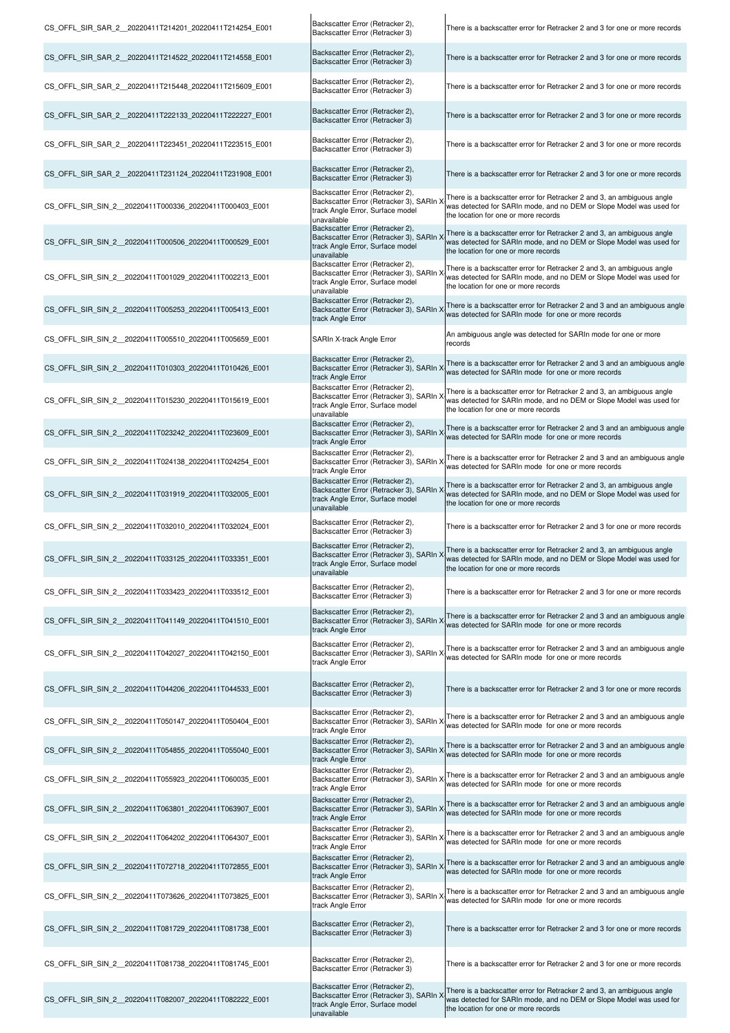| CS OFFL SIR SAR 2 20220411T214201 20220411T214254 E001  | Backscatter Error (Retracker 2),<br>Backscatter Error (Retracker 3)                                                             | There is a backscatter error for Retracker 2 and 3 for one or more records                                                                                                                                                     |
|---------------------------------------------------------|---------------------------------------------------------------------------------------------------------------------------------|--------------------------------------------------------------------------------------------------------------------------------------------------------------------------------------------------------------------------------|
| CS_OFFL_SIR_SAR_2_20220411T214522_20220411T214558_E001  | Backscatter Error (Retracker 2),<br>Backscatter Error (Retracker 3)                                                             | There is a backscatter error for Retracker 2 and 3 for one or more records                                                                                                                                                     |
| CS_OFFL_SIR_SAR_2_20220411T215448_20220411T215609_E001  | Backscatter Error (Retracker 2),<br>Backscatter Error (Retracker 3)                                                             | There is a backscatter error for Retracker 2 and 3 for one or more records                                                                                                                                                     |
| CS_OFFL_SIR_SAR_2_20220411T222133_20220411T222227_E001  | Backscatter Error (Retracker 2),<br>Backscatter Error (Retracker 3)                                                             | There is a backscatter error for Retracker 2 and 3 for one or more records                                                                                                                                                     |
| CS OFFL SIR SAR 2 20220411T223451 20220411T223515 E001  | Backscatter Error (Retracker 2),<br>Backscatter Error (Retracker 3)                                                             | There is a backscatter error for Retracker 2 and 3 for one or more records                                                                                                                                                     |
| CS OFFL SIR SAR 2 20220411T231124 20220411T231908 E001  | Backscatter Error (Retracker 2),<br>Backscatter Error (Retracker 3)                                                             | There is a backscatter error for Retracker 2 and 3 for one or more records                                                                                                                                                     |
| CS_OFFL_SIR_SIN_2_20220411T000336_20220411T000403_E001  | Backscatter Error (Retracker 2),<br>Backscatter Error (Retracker 3), SARIn )<br>track Angle Error, Surface model<br>unavailable | There is a backscatter error for Retracker 2 and 3, an ambiguous angle<br>was detected for SARIn mode, and no DEM or Slope Model was used for<br>the location for one or more records                                          |
| CS OFFL SIR SIN 2 20220411T000506 20220411T000529 E001  | Backscatter Error (Retracker 2),<br>Backscatter Error (Retracker 3), SARIn ><br>track Angle Error, Surface model<br>unavailable | There is a backscatter error for Retracker 2 and 3, an ambiguous angle<br>was detected for SARIn mode, and no DEM or Slope Model was used for<br>the location for one or more records                                          |
| CS_OFFL_SIR_SIN_2_20220411T001029_20220411T002213_E001  | Backscatter Error (Retracker 2),<br>Backscatter Error (Retracker 3), SARIn ><br>track Angle Error, Surface model<br>unavailable | There is a backscatter error for Retracker 2 and 3, an ambiguous angle<br>was detected for SARIn mode, and no DEM or Slope Model was used for<br>the location for one or more records                                          |
| CS OFFL SIR SIN 2 20220411T005253 20220411T005413 E001  | Backscatter Error (Retracker 2),<br>Backscatter Error (Retracker 3), SARIn ><br>track Angle Error                               | There is a backscatter error for Retracker 2 and 3 and an ambiguous angle<br>was detected for SARIn mode for one or more records                                                                                               |
| CS_OFFL_SIR_SIN_2_20220411T005510_20220411T005659_E001  | SARIn X-track Angle Error                                                                                                       | An ambiguous angle was detected for SARIn mode for one or more<br>records                                                                                                                                                      |
| CS_OFFL_SIR_SIN_2_20220411T010303_20220411T010426_E001  | Backscatter Error (Retracker 2),<br>Backscatter Error (Retracker 3), SARIn ><br>track Angle Error                               | There is a backscatter error for Retracker 2 and 3 and an ambiguous angle<br>was detected for SARIn mode for one or more records                                                                                               |
| CS OFFL SIR SIN_2 _20220411T015230_20220411T015619_E001 | Backscatter Error (Retracker 2),<br>Backscatter Error (Retracker 3), SARIn ><br>track Angle Error, Surface model<br>unavailable | There is a backscatter error for Retracker 2 and 3, an ambiguous angle<br>was detected for SARIn mode, and no DEM or Slope Model was used for<br>the location for one or more records                                          |
| CS_OFFL_SIR_SIN_2_20220411T023242_20220411T023609_E001  | Backscatter Error (Retracker 2),<br>Backscatter Error (Retracker 3), SARIn ><br>track Angle Error                               | There is a backscatter error for Retracker 2 and 3 and an ambiguous angle<br>was detected for SARIn mode for one or more records                                                                                               |
| CS_OFFL_SIR_SIN_2_20220411T024138_20220411T024254_E001  | Backscatter Error (Retracker 2),<br>Backscatter Error (Retracker 3), SARIn ><br>track Angle Error                               | There is a backscatter error for Retracker 2 and 3 and an ambiguous angle<br>was detected for SARIn mode for one or more records                                                                                               |
| CS OFFL SIR SIN 2 20220411T031919 20220411T032005 E001  | Backscatter Error (Retracker 2),<br>Backscatter Error (Retracker 3), SARIn ><br>track Angle Error, Surface model<br>unavailable | There is a backscatter error for Retracker 2 and 3, an ambiguous angle<br>was detected for SARIn mode, and no DEM or Slope Model was used for<br>the location for one or more records                                          |
| CS OFFL SIR SIN 2 20220411T032010 20220411T032024 E001  | Backscatter Error (Retracker 2),<br>Backscatter Error (Retracker 3)                                                             | There is a backscatter error for Retracker 2 and 3 for one or more records                                                                                                                                                     |
| CS OFFL SIR SIN 2 20220411T033125 20220411T033351 E001  | track Angle Error, Surface model<br>unavailable                                                                                 | Backscatter Error (Retracker 3), SARIn X There is a backscatter error for Retracker 2 and 3, an ambiguous angle<br>was detected for SARIn mode, and no DEM or Slope Model was used for<br>the location for one or more records |
| CS OFFL SIR SIN 2 20220411T033423 20220411T033512 E001  | Backscatter Error (Retracker 2),<br>Backscatter Error (Retracker 3)                                                             | There is a backscatter error for Retracker 2 and 3 for one or more records                                                                                                                                                     |
| CS OFFL SIR SIN 2 20220411T041149 20220411T041510 E001  | Backscatter Error (Retracker 2),<br>Backscatter Error (Retracker 3), SARIn ><br>track Angle Error                               | There is a backscatter error for Retracker 2 and 3 and an ambiguous angle<br>was detected for SARIn mode for one or more records                                                                                               |
| CS_OFFL_SIR_SIN_2_20220411T042027_20220411T042150_E001  | Backscatter Error (Retracker 2),<br>Backscatter Error (Retracker 3), SARIn X<br>track Angle Error                               | There is a backscatter error for Retracker 2 and 3 and an ambiguous angle<br>was detected for SARIn mode for one or more records                                                                                               |
| CS_OFFL_SIR_SIN_2_20220411T044206_20220411T044533_E001  | Backscatter Error (Retracker 2),<br>Backscatter Error (Retracker 3)                                                             | There is a backscatter error for Retracker 2 and 3 for one or more records                                                                                                                                                     |
| CS OFFL SIR SIN 2 20220411T050147 20220411T050404 E001  | Backscatter Error (Retracker 2),<br>Backscatter Error (Retracker 3), SARIn X<br>track Angle Error                               | There is a backscatter error for Retracker 2 and 3 and an ambiguous angle<br>was detected for SARIn mode for one or more records                                                                                               |
| CS OFFL SIR SIN 2 20220411T054855 20220411T055040 E001  | Backscatter Error (Retracker 2),<br>Backscatter Error (Retracker 3), SARIn X<br>track Angle Error                               | There is a backscatter error for Retracker 2 and 3 and an ambiguous angle<br>was detected for SARIn mode for one or more records                                                                                               |
| CS OFFL SIR SIN 2 20220411T055923 20220411T060035 E001  | Backscatter Error (Retracker 2),<br>Backscatter Error (Retracker 3), SARIn X<br>track Angle Error                               | There is a backscatter error for Retracker 2 and 3 and an ambiguous angle<br>was detected for SARIn mode for one or more records                                                                                               |
| CS OFFL SIR SIN 2 20220411T063801 20220411T063907 E001  | Backscatter Error (Retracker 2),<br>Backscatter Error (Retracker 3), SARIn ><br>track Angle Error                               | There is a backscatter error for Retracker 2 and 3 and an ambiguous angle<br>was detected for SARIn mode for one or more records                                                                                               |
| CS OFFL SIR SIN 2 20220411T064202 20220411T064307 E001  | Backscatter Error (Retracker 2),<br>Backscatter Error (Retracker 3), SARIn ><br>track Angle Error                               | There is a backscatter error for Retracker 2 and 3 and an ambiguous angle<br>was detected for SARIn mode for one or more records                                                                                               |
| CS OFFL SIR SIN_2 _20220411T072718_20220411T072855_E001 | Backscatter Error (Retracker 2),<br>Backscatter Error (Retracker 3), SARIn ><br>track Angle Error                               | There is a backscatter error for Retracker 2 and 3 and an ambiguous angle<br>was detected for SARIn mode for one or more records                                                                                               |
| CS OFFL SIR SIN 2 20220411T073626 20220411T073825 E001  | Backscatter Error (Retracker 2),<br>Backscatter Error (Retracker 3), SARIn ><br>track Angle Error                               | There is a backscatter error for Retracker 2 and 3 and an ambiguous angle<br>was detected for SARIn mode for one or more records                                                                                               |
| CS_OFFL_SIR_SIN_2_20220411T081729_20220411T081738_E001  | Backscatter Error (Retracker 2),<br>Backscatter Error (Retracker 3)                                                             | There is a backscatter error for Retracker 2 and 3 for one or more records                                                                                                                                                     |
| CS_OFFL_SIR_SIN_2_20220411T081738_20220411T081745_E001  | Backscatter Error (Retracker 2),<br>Backscatter Error (Retracker 3)                                                             | There is a backscatter error for Retracker 2 and 3 for one or more records                                                                                                                                                     |
| CS_OFFL_SIR_SIN_2_20220411T082007_20220411T082222_E001  | Backscatter Error (Retracker 2),<br>Backscatter Error (Retracker 3), SARIn ><br>track Angle Error, Surface model<br>unavailable | There is a backscatter error for Retracker 2 and 3, an ambiguous angle<br>was detected for SARIn mode, and no DEM or Slope Model was used for<br>the location for one or more records                                          |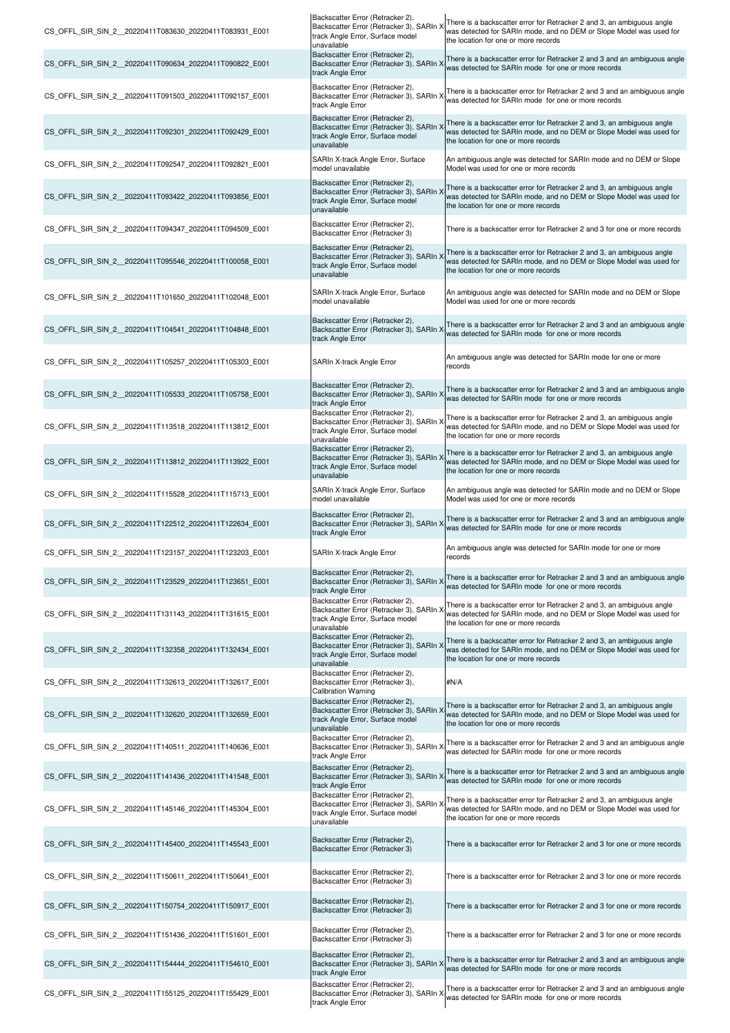| CS_OFFL_SIR_SIN_2_20220411T083630_20220411T083931_E001  | Backscatter Error (Retracker 2),<br>Backscatter Error (Retracker 3), SARIn ><br>track Angle Error, Surface model<br>unavailable | There is a backscatter error for Retracker 2 and 3, an ambiguous angle<br>was detected for SARIn mode, and no DEM or Slope Model was used for<br>the location for one or more records |
|---------------------------------------------------------|---------------------------------------------------------------------------------------------------------------------------------|---------------------------------------------------------------------------------------------------------------------------------------------------------------------------------------|
| CS OFFL SIR SIN 2 20220411T090634 20220411T090822 E001  | Backscatter Error (Retracker 2),<br>Backscatter Error (Retracker 3), SARIn ><br>track Angle Error                               | There is a backscatter error for Retracker 2 and 3 and an ambiguous angle<br>was detected for SARIn mode for one or more records                                                      |
| CS_OFFL_SIR_SIN_2_20220411T091503_20220411T092157_E001  | Backscatter Error (Retracker 2),<br>Backscatter Error (Retracker 3), SARIn X<br>track Angle Error                               | There is a backscatter error for Retracker 2 and 3 and an ambiguous angle<br>was detected for SARIn mode for one or more records                                                      |
| CS OFFL SIR SIN 2 20220411T092301 20220411T092429 E001  | Backscatter Error (Retracker 2),<br>Backscatter Error (Retracker 3), SARIn X<br>track Angle Error, Surface model<br>unavailable | There is a backscatter error for Retracker 2 and 3, an ambiguous angle<br>was detected for SARIn mode, and no DEM or Slope Model was used for<br>the location for one or more records |
| CS_OFFL_SIR_SIN_2_20220411T092547_20220411T092821_E001  | SARIn X-track Angle Error, Surface<br>model unavailable                                                                         | An ambiguous angle was detected for SARIn mode and no DEM or Slope<br>Model was used for one or more records                                                                          |
| CS OFFL SIR SIN 2 20220411T093422 20220411T093856 E001  | Backscatter Error (Retracker 2),<br>Backscatter Error (Retracker 3), SARIn ><br>track Angle Error, Surface model<br>unavailable | There is a backscatter error for Retracker 2 and 3, an ambiguous angle<br>was detected for SARIn mode, and no DEM or Slope Model was used for<br>the location for one or more records |
| CS OFFL SIR SIN 2 20220411T094347 20220411T094509 E001  | Backscatter Error (Retracker 2),<br>Backscatter Error (Retracker 3)                                                             | There is a backscatter error for Retracker 2 and 3 for one or more records                                                                                                            |
| CS_OFFL_SIR_SIN_2_20220411T095546_20220411T100058_E001  | Backscatter Error (Retracker 2),<br>Backscatter Error (Retracker 3), SARIn ><br>track Angle Error, Surface model<br>unavailable | There is a backscatter error for Retracker 2 and 3, an ambiguous angle<br>was detected for SARIn mode, and no DEM or Slope Model was used for<br>the location for one or more records |
| CS_OFFL_SIR_SIN_2_20220411T101650_20220411T102048_E001  | SARIn X-track Angle Error, Surface<br>model unavailable                                                                         | An ambiguous angle was detected for SARIn mode and no DEM or Slope<br>Model was used for one or more records                                                                          |
| CS_OFFL_SIR_SIN_2_20220411T104541_20220411T104848_E001  | Backscatter Error (Retracker 2),<br>Backscatter Error (Retracker 3), SARIn ><br>track Angle Error                               | There is a backscatter error for Retracker 2 and 3 and an ambiguous angle<br>was detected for SARIn mode for one or more records                                                      |
| CS OFFL SIR SIN 2 20220411T105257 20220411T105303 E001  | SARIn X-track Angle Error                                                                                                       | An ambiguous angle was detected for SARIn mode for one or more<br>records                                                                                                             |
| CS_OFFL_SIR_SIN_2_20220411T105533_20220411T105758_E001  | Backscatter Error (Retracker 2),<br>Backscatter Error (Retracker 3), SARIn ><br>track Angle Error                               | There is a backscatter error for Retracker 2 and 3 and an ambiguous angle<br>was detected for SARIn mode for one or more records                                                      |
| CS_OFFL_SIR_SIN_2__20220411T113518_20220411T113812_E001 | Backscatter Error (Retracker 2),<br>Backscatter Error (Retracker 3), SARIn ><br>track Angle Error, Surface model<br>unavailable | There is a backscatter error for Retracker 2 and 3, an ambiguous angle<br>was detected for SARIn mode, and no DEM or Slope Model was used for<br>the location for one or more records |
| CS_OFFL_SIR_SIN_2_20220411T113812_20220411T113922_E001  | Backscatter Error (Retracker 2),<br>Backscatter Error (Retracker 3), SARIn ><br>track Angle Error, Surface model<br>unavailable | There is a backscatter error for Retracker 2 and 3, an ambiguous angle<br>was detected for SARIn mode, and no DEM or Slope Model was used for<br>the location for one or more records |
| CS_OFFL_SIR_SIN_2_20220411T115528_20220411T115713_E001  | SARIn X-track Angle Error, Surface<br>model unavailable                                                                         | An ambiguous angle was detected for SARIn mode and no DEM or Slope<br>Model was used for one or more records                                                                          |
| CS OFFL SIR SIN 2 20220411T122512 20220411T122634 E001  | Backscatter Error (Retracker 2),<br>Backscatter Error (Retracker 3), SARIn ><br>track Angle Error                               | There is a backscatter error for Retracker 2 and 3 and an ambiguous angle<br>was detected for SARIn mode for one or more records                                                      |
| CS OFFL SIR SIN 2 20220411T123157 20220411T123203 E001  | SARIn X-track Angle Error                                                                                                       | An ambiguous angle was detected for SARIn mode for one or more<br>records                                                                                                             |
| CS OFFL SIR SIN 2 20220411T123529 20220411T123651 E001  | Backscatter Error (Retracker 2),<br>Backscatter Error (Retracker 3), SARIn ><br>track Angle Error                               | There is a backscatter error for Retracker 2 and 3 and an ambiguous angle<br>was detected for SARIn mode for one or more records                                                      |
| CS_OFFL_SIR_SIN_2_20220411T131143_20220411T131615_E001  | Backscatter Error (Retracker 2),<br>Backscatter Error (Retracker 3), SARIn ><br>track Angle Error, Surface model<br>unavailable | There is a backscatter error for Retracker 2 and 3, an ambiguous angle<br>was detected for SARIn mode, and no DEM or Slope Model was used for<br>the location for one or more records |
| CS_OFFL_SIR_SIN_2_20220411T132358_20220411T132434_E001  | Backscatter Error (Retracker 2),<br>Backscatter Error (Retracker 3), SARIn ><br>track Angle Error, Surface model<br>unavailable | There is a backscatter error for Retracker 2 and 3, an ambiguous angle<br>was detected for SARIn mode, and no DEM or Slope Model was used for<br>the location for one or more records |
| CS OFFL SIR SIN 2 20220411T132613 20220411T132617 E001  | Backscatter Error (Retracker 2),<br>Backscatter Error (Retracker 3),<br><b>Calibration Warning</b>                              | #N/A                                                                                                                                                                                  |
| CS OFFL SIR SIN 2 20220411T132620 20220411T132659 E001  | Backscatter Error (Retracker 2),<br>Backscatter Error (Retracker 3), SARIn ><br>track Angle Error, Surface model<br>unavailable | There is a backscatter error for Retracker 2 and 3, an ambiguous angle<br>was detected for SARIn mode, and no DEM or Slope Model was used for<br>the location for one or more records |
| CS_OFFL_SIR_SIN_2_20220411T140511_20220411T140636_E001  | Backscatter Error (Retracker 2),<br>Backscatter Error (Retracker 3), SARIn X<br>track Angle Error                               | There is a backscatter error for Retracker 2 and 3 and an ambiguous angle<br>was detected for SARIn mode for one or more records                                                      |
| CS_OFFL_SIR_SIN_2_20220411T141436_20220411T141548_E001  | Backscatter Error (Retracker 2),<br>Backscatter Error (Retracker 3), SARIn X<br>track Angle Error                               | There is a backscatter error for Retracker 2 and 3 and an ambiguous angle<br>was detected for SARIn mode for one or more records                                                      |
| CS OFFL SIR SIN 2 20220411T145146 20220411T145304 E001  | Backscatter Error (Retracker 2),<br>Backscatter Error (Retracker 3), SARIn X<br>track Angle Error, Surface model<br>unavailable | There is a backscatter error for Retracker 2 and 3, an ambiguous angle<br>was detected for SARIn mode, and no DEM or Slope Model was used for<br>the location for one or more records |
| CS_OFFL_SIR_SIN_2_20220411T145400_20220411T145543_E001  | Backscatter Error (Retracker 2),<br>Backscatter Error (Retracker 3)                                                             | There is a backscatter error for Retracker 2 and 3 for one or more records                                                                                                            |
| CS OFFL SIR SIN 2 20220411T150611 20220411T150641 E001  | Backscatter Error (Retracker 2),<br>Backscatter Error (Retracker 3)                                                             | There is a backscatter error for Retracker 2 and 3 for one or more records                                                                                                            |
| CS_OFFL_SIR_SIN_2_20220411T150754_20220411T150917_E001  | Backscatter Error (Retracker 2),<br>Backscatter Error (Retracker 3)                                                             | There is a backscatter error for Retracker 2 and 3 for one or more records                                                                                                            |
| CS_OFFL_SIR_SIN_2_20220411T151436_20220411T151601_E001  | Backscatter Error (Retracker 2),<br>Backscatter Error (Retracker 3)                                                             | There is a backscatter error for Retracker 2 and 3 for one or more records                                                                                                            |
| CS_OFFL_SIR_SIN_2_20220411T154444_20220411T154610_E001  | Backscatter Error (Retracker 2),<br>Backscatter Error (Retracker 3), SARIn X<br>track Angle Error                               | There is a backscatter error for Retracker 2 and 3 and an ambiguous angle<br>was detected for SARIn mode for one or more records                                                      |
| CS_OFFL_SIR_SIN_2_20220411T155125_20220411T155429_E001  | Backscatter Error (Retracker 2),<br>Backscatter Error (Retracker 3), SARIn ><br>track Angle Error                               | There is a backscatter error for Retracker 2 and 3 and an ambiguous angle<br>was detected for SARIn mode for one or more records                                                      |